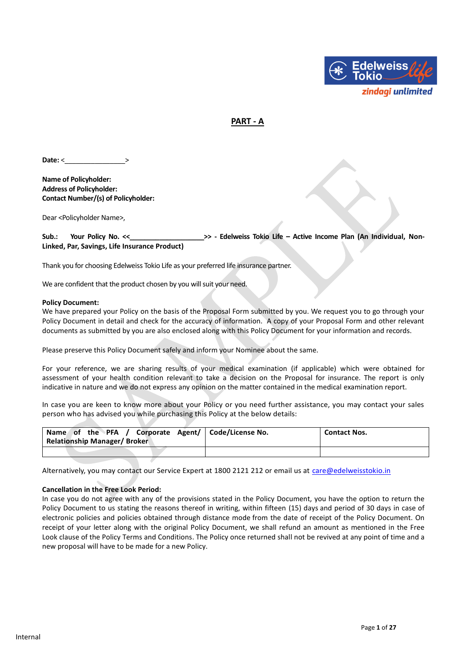

## **PART - A**

Date: <

**Name of Policyholder: Address of Policyholder: Contact Number/(s) of Policyholder:**

Dear <Policyholder Name>,

**Sub.: Your Policy No. <<\_\_\_\_\_\_\_\_\_\_\_\_\_\_\_\_\_\_\_\_>> - Edelweiss Tokio Life – Active Income Plan (An Individual, Non-Linked, Par, Savings, Life Insurance Product)**

Thank you for choosing Edelweiss Tokio Life as your preferred life insurance partner.

We are confident that the product chosen by you will suit your need.

#### **Policy Document:**

We have prepared your Policy on the basis of the Proposal Form submitted by you. We request you to go through your Policy Document in detail and check for the accuracy of information. A copy of your Proposal Form and other relevant documents as submitted by you are also enclosed along with this Policy Document for your information and records.

Please preserve this Policy Document safely and inform your Nominee about the same.

For your reference, we are sharing results of your medical examination (if applicable) which were obtained for assessment of your health condition relevant to take a decision on the Proposal for insurance. The report is only indicative in nature and we do not express any opinion on the matter contained in the medical examination report.

In case you are keen to know more about your Policy or you need further assistance, you may contact your sales person who has advised you while purchasing this Policy at the below details:

| Corporate Agent/   Code/License No.<br>Name of the PFA /<br><b>Relationship Manager/Broker</b> | <b>Contact Nos.</b> |
|------------------------------------------------------------------------------------------------|---------------------|
|                                                                                                |                     |

Alternatively, you may contact our Service Expert at 1800 2121 212 or email us at [care@edelweisstokio.in](mailto:care@edelweisstokio.in)

#### **Cancellation in the Free Look Period:**

In case you do not agree with any of the provisions stated in the Policy Document, you have the option to return the Policy Document to us stating the reasons thereof in writing, within fifteen (15) days and period of 30 days in case of electronic policies and policies obtained through distance mode from the date of receipt of the Policy Document. On receipt of your letter along with the original Policy Document, we shall refund an amount as mentioned in the Free Look clause of the Policy Terms and Conditions. The Policy once returned shall not be revived at any point of time and a new proposal will have to be made for a new Policy.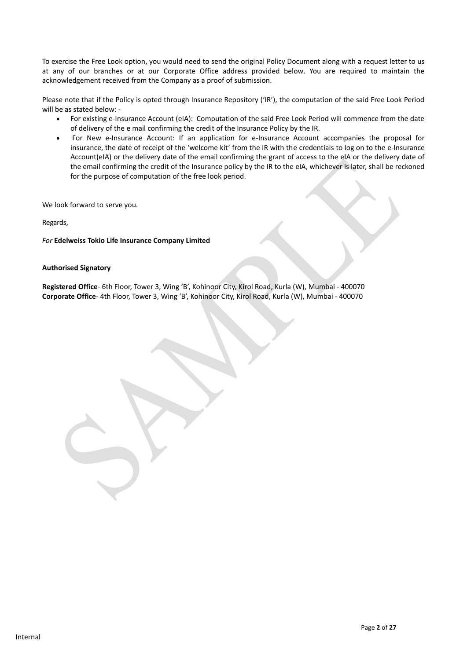To exercise the Free Look option, you would need to send the original Policy Document along with a request letter to us at any of our branches or at our Corporate Office address provided below. You are required to maintain the acknowledgement received from the Company as a proof of submission.

Please note that if the Policy is opted through Insurance Repository ('IR'), the computation of the said Free Look Period will be as stated below: -

- For existing e-Insurance Account (eIA): Computation of the said Free Look Period will commence from the date of delivery of the e mail confirming the credit of the Insurance Policy by the IR.
- For New e-Insurance Account: If an application for e-Insurance Account accompanies the proposal for insurance, the date of receipt of the 'welcome kit' from the IR with the credentials to log on to the e-Insurance Account(eIA) or the delivery date of the email confirming the grant of access to the eIA or the delivery date of the email confirming the credit of the Insurance policy by the IR to the eIA, whichever is later, shall be reckoned for the purpose of computation of the free look period.

We look forward to serve you.

Regards,

*For* **Edelweiss Tokio Life Insurance Company Limited**

#### **Authorised Signatory**

**Registered Office**- 6th Floor, Tower 3, Wing 'B', Kohinoor City, Kirol Road, Kurla (W), Mumbai ‐ 400070 **Corporate Office**- 4th Floor, Tower 3, Wing 'B', Kohinoor City, Kirol Road, Kurla (W), Mumbai ‐ 400070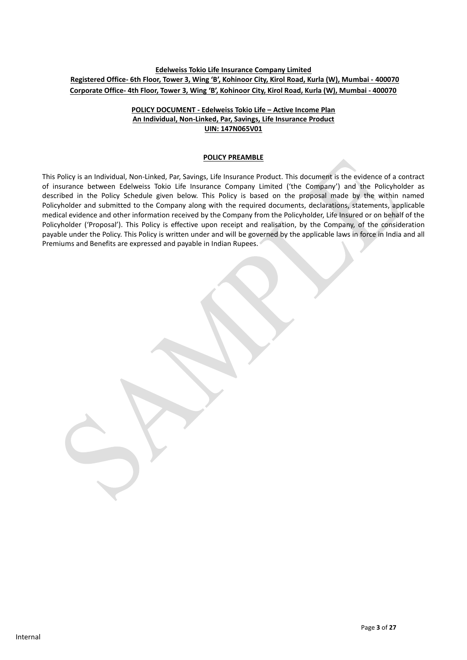## **Edelweiss Tokio Life Insurance Company Limited Registered Office- 6th Floor, Tower 3, Wing 'B', Kohinoor City, Kirol Road, Kurla (W), Mumbai ‐ 400070 Corporate Office- 4th Floor, Tower 3, Wing 'B', Kohinoor City, Kirol Road, Kurla (W), Mumbai ‐ 400070**

## **POLICY DOCUMENT - Edelweiss Tokio Life – Active Income Plan An Individual, Non-Linked, Par, Savings, Life Insurance Product UIN: 147N065V01**

#### **POLICY PREAMBLE**

This Policy is an Individual, Non-Linked, Par, Savings, Life Insurance Product. This document is the evidence of a contract of insurance between Edelweiss Tokio Life Insurance Company Limited ('the Company') and the Policyholder as described in the Policy Schedule given below. This Policy is based on the proposal made by the within named Policyholder and submitted to the Company along with the required documents, declarations, statements, applicable medical evidence and other information received by the Company from the Policyholder, Life Insured or on behalf of the Policyholder ('Proposal'). This Policy is effective upon receipt and realisation, by the Company, of the consideration payable under the Policy. This Policy is written under and will be governed by the applicable laws in force in India and all Premiums and Benefits are expressed and payable in Indian Rupees.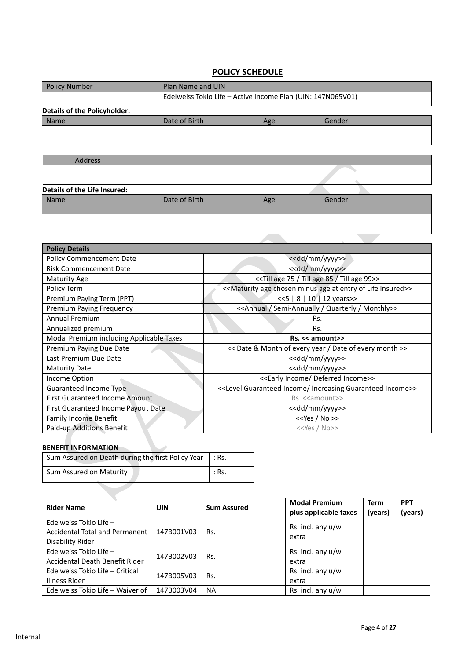# **POLICY SCHEDULE**

| <b>Policy Number</b>                | Plan Name and UIN                                           |  |  |  |
|-------------------------------------|-------------------------------------------------------------|--|--|--|
|                                     | Edelweiss Tokio Life - Active Income Plan (UIN: 147N065V01) |  |  |  |
| <b>Details of the Policyholder:</b> |                                                             |  |  |  |
| <b>Name</b>                         | Date of Birth<br>Gender<br>Age                              |  |  |  |
|                                     |                                                             |  |  |  |
|                                     |                                                             |  |  |  |

| Address                      |               |     |        |
|------------------------------|---------------|-----|--------|
|                              |               |     |        |
| Details of the Life Insured: |               |     |        |
|                              |               |     |        |
| Name                         | Date of Birth | Age | Gender |
|                              |               |     |        |
|                              |               |     |        |
|                              |               |     |        |
|                              |               |     |        |

| <b>Policy Details</b>                    |                                                                  |
|------------------------------------------|------------------------------------------------------------------|
| <b>Policy Commencement Date</b>          | < <dd mm="" yyyy="">&gt;</dd>                                    |
| <b>Risk Commencement Date</b>            | < <dd mm="" yyyy="">&gt;</dd>                                    |
| <b>Maturity Age</b>                      | << Till age 75 / Till age 85 / Till age 99>>                     |
| Policy Term                              | << Maturity age chosen minus age at entry of Life Insured>>      |
| Premium Paying Term (PPT)                | <<5   8   10   12 years>>                                        |
| Premium Paying Frequency                 | < <annual monthly="" quarterly="" semi-annually="">&gt;</annual> |
| <b>Annual Premium</b>                    | Rs.                                                              |
| Annualized premium                       | Rs.                                                              |
| Modal Premium including Applicable Taxes | Rs. << amount>>                                                  |
| Premium Paying Due Date                  | << Date & Month of every year / Date of every month >>           |
| Last Premium Due Date                    | < <dd mm="" yyyy="">&gt;</dd>                                    |
| <b>Maturity Date</b>                     | < <dd mm="" yyyy="">&gt;</dd>                                    |
| Income Option                            | < <early deferred="" income="">&gt;</early>                      |
| Guaranteed Income Type                   | < <level guaranteed="" income="" increasing="">&gt;</level>      |
| <b>First Guaranteed Income Amount</b>    | Rs. < <amount>&gt;</amount>                                      |
| First Guaranteed Income Payout Date      | < <dd mm="" yyyy="">&gt;</dd>                                    |
| <b>Family Income Benefit</b>             | $<<$ Yes / No >>                                                 |
| Paid-up Additions Benefit                | $<<$ Yes / No>>                                                  |

# **BENEFIT INFORMATION**

| Sum Assured on Death during the first Policy Year   : Rs. |               |
|-----------------------------------------------------------|---------------|
| Sum Assured on Maturity                                   | $\vert$ : Rs. |

| <b>Rider Name</b>                                                            | <b>UIN</b> | <b>Sum Assured</b> | <b>Modal Premium</b><br>plus applicable taxes | <b>Term</b><br>(years) | <b>PPT</b><br>(years) |
|------------------------------------------------------------------------------|------------|--------------------|-----------------------------------------------|------------------------|-----------------------|
| Edelweiss Tokio Life -<br>Accidental Total and Permanent<br>Disability Rider | 147B001V03 | Rs.                | Rs. incl. any $u/w$<br>extra                  |                        |                       |
| Edelweiss Tokio Life -<br>Accidental Death Benefit Rider                     | 147B002V03 | Rs.                | Rs. incl. any $u/w$<br>extra                  |                        |                       |
| Edelweiss Tokio Life - Critical<br>Illness Rider                             | 147B005V03 | Rs.                | Rs. incl. any $u/w$<br>extra                  |                        |                       |
| Edelweiss Tokio Life - Waiver of                                             | 147B003V04 | <b>NA</b>          | Rs. incl. any $u/w$                           |                        |                       |

 $\mathbf l$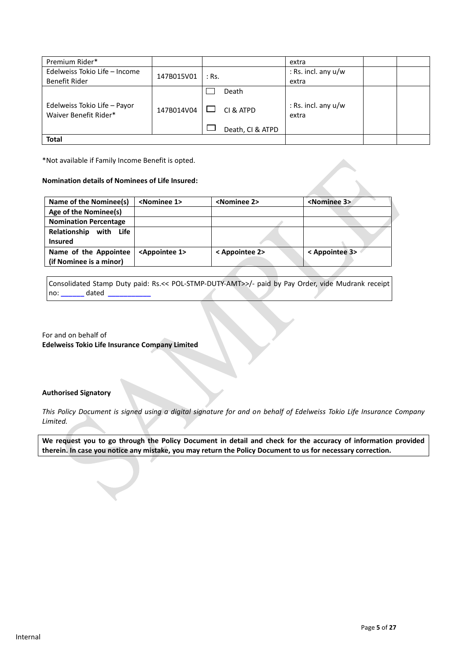| Premium Rider*                                        |            |                  | extra                        |  |
|-------------------------------------------------------|------------|------------------|------------------------------|--|
| Edelweiss Tokio Life - Income                         | 147B015V01 | $:$ Rs.          | : Rs. incl. any $u/w$        |  |
| Benefit Rider                                         |            |                  | extra                        |  |
|                                                       |            | Death            |                              |  |
| Edelweiss Tokio Life - Payor<br>Waiver Benefit Rider* | 147B014V04 | CI & ATPD        | : Rs. incl. any u/w<br>extra |  |
|                                                       |            | Death, CI & ATPD |                              |  |
| <b>Total</b>                                          |            |                  |                              |  |

\*Not available if Family Income Benefit is opted.

#### **Nomination details of Nominees of Life Insured:**

| Name of the Nominee(s)       | <nominee 1=""></nominee>     | <nominee 2=""></nominee> | <nominee 3=""></nominee> |
|------------------------------|------------------------------|--------------------------|--------------------------|
| Age of the Nominee(s)        |                              |                          |                          |
| <b>Nomination Percentage</b> |                              |                          |                          |
| Relationship<br>with Life    |                              |                          |                          |
| <b>Insured</b>               |                              |                          |                          |
| Name of the Appointee        | <appointee 1=""></appointee> | < Appointee 2>           | < Appointee 3>           |
| (if Nominee is a minor)      |                              |                          |                          |

Consolidated Stamp Duty paid: Rs.<< POL-STMP-DUTY-AMT>>/- paid by Pay Order, vide Mudrank receipt no: **\_\_\_\_\_\_** dated **\_\_\_\_\_\_\_\_\_\_\_**

For and on behalf of **Edelweiss Tokio Life Insurance Company Limited** 

#### **Authorised Signatory**

*This Policy Document is signed using a digital signature for and on behalf of Edelweiss Tokio Life Insurance Company Limited.* 

**We request you to go through the Policy Document in detail and check for the accuracy of information provided therein. In case you notice any mistake, you may return the Policy Document to us for necessary correction.**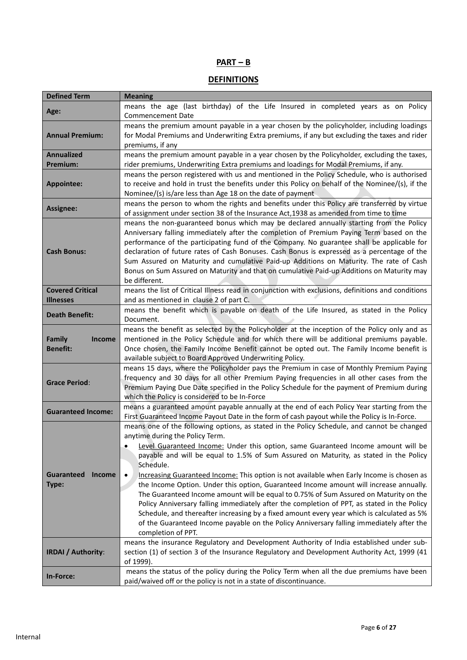# **PART – B**

# **DEFINITIONS**

| <b>Defined Term</b>                         | <b>Meaning</b>                                                                                                                                                                                                                                                                                                                                                                                                                                                                                                                                                                                           |  |  |  |
|---------------------------------------------|----------------------------------------------------------------------------------------------------------------------------------------------------------------------------------------------------------------------------------------------------------------------------------------------------------------------------------------------------------------------------------------------------------------------------------------------------------------------------------------------------------------------------------------------------------------------------------------------------------|--|--|--|
| Age:                                        | means the age (last birthday) of the Life Insured in completed years as on Policy<br><b>Commencement Date</b>                                                                                                                                                                                                                                                                                                                                                                                                                                                                                            |  |  |  |
| <b>Annual Premium:</b>                      | means the premium amount payable in a year chosen by the policyholder, including loadings<br>for Modal Premiums and Underwriting Extra premiums, if any but excluding the taxes and rider<br>premiums, if any                                                                                                                                                                                                                                                                                                                                                                                            |  |  |  |
| <b>Annualized</b><br>Premium:               | means the premium amount payable in a year chosen by the Policyholder, excluding the taxes,<br>rider premiums, Underwriting Extra premiums and loadings for Modal Premiums, if any.                                                                                                                                                                                                                                                                                                                                                                                                                      |  |  |  |
| Appointee:                                  | means the person registered with us and mentioned in the Policy Schedule, who is authorised<br>to receive and hold in trust the benefits under this Policy on behalf of the Nominee/(s), if the<br>Nominee/(s) is/are less than Age 18 on the date of payment                                                                                                                                                                                                                                                                                                                                            |  |  |  |
| Assignee:                                   | means the person to whom the rights and benefits under this Policy are transferred by virtue<br>of assignment under section 38 of the Insurance Act, 1938 as amended from time to time                                                                                                                                                                                                                                                                                                                                                                                                                   |  |  |  |
| <b>Cash Bonus:</b>                          | means the non-guaranteed bonus which may be declared annually starting from the Policy<br>Anniversary falling immediately after the completion of Premium Paying Term based on the<br>performance of the participating fund of the Company. No guarantee shall be applicable for<br>declaration of future rates of Cash Bonuses. Cash Bonus is expressed as a percentage of the<br>Sum Assured on Maturity and cumulative Paid-up Additions on Maturity. The rate of Cash<br>Bonus on Sum Assured on Maturity and that on cumulative Paid-up Additions on Maturity may<br>be different.                  |  |  |  |
| <b>Covered Critical</b>                     | means the list of Critical Illness read in conjunction with exclusions, definitions and conditions                                                                                                                                                                                                                                                                                                                                                                                                                                                                                                       |  |  |  |
| <b>Illnesses</b><br><b>Death Benefit:</b>   | and as mentioned in clause 2 of part C.<br>means the benefit which is payable on death of the Life Insured, as stated in the Policy<br>Document.                                                                                                                                                                                                                                                                                                                                                                                                                                                         |  |  |  |
| Family<br>Income<br><b>Benefit:</b>         | means the benefit as selected by the Policyholder at the inception of the Policy only and as<br>mentioned in the Policy Schedule and for which there will be additional premiums payable.<br>Once chosen, the Family Income Benefit cannot be opted out. The Family Income benefit is<br>available subject to Board Approved Underwriting Policy.                                                                                                                                                                                                                                                        |  |  |  |
| <b>Grace Period:</b>                        | means 15 days, where the Policyholder pays the Premium in case of Monthly Premium Paying<br>frequency and 30 days for all other Premium Paying frequencies in all other cases from the<br>Premium Paying Due Date specified in the Policy Schedule for the payment of Premium during<br>which the Policy is considered to be In-Force                                                                                                                                                                                                                                                                    |  |  |  |
| <b>Guaranteed Income:</b>                   | means a guaranteed amount payable annually at the end of each Policy Year starting from the<br>First Guaranteed Income Payout Date in the form of cash payout while the Policy is In-Force.                                                                                                                                                                                                                                                                                                                                                                                                              |  |  |  |
|                                             | means one of the following options, as stated in the Policy Schedule, and cannot be changed<br>anytime during the Policy Term.<br>Level Guaranteed Income: Under this option, same Guaranteed Income amount will be<br>payable and will be equal to 1.5% of Sum Assured on Maturity, as stated in the Policy<br>Schedule.                                                                                                                                                                                                                                                                                |  |  |  |
| <b>Guaranteed</b><br><b>Income</b><br>Type: | Increasing Guaranteed Income: This option is not available when Early Income is chosen as<br>$\bullet$<br>the Income Option. Under this option, Guaranteed Income amount will increase annually.<br>The Guaranteed Income amount will be equal to 0.75% of Sum Assured on Maturity on the<br>Policy Anniversary falling immediately after the completion of PPT, as stated in the Policy<br>Schedule, and thereafter increasing by a fixed amount every year which is calculated as 5%<br>of the Guaranteed Income payable on the Policy Anniversary falling immediately after the<br>completion of PPT. |  |  |  |
| <b>IRDAI / Authority:</b>                   | means the insurance Regulatory and Development Authority of India established under sub-<br>section (1) of section 3 of the Insurance Regulatory and Development Authority Act, 1999 (41<br>of 1999).                                                                                                                                                                                                                                                                                                                                                                                                    |  |  |  |
| In-Force:                                   | means the status of the policy during the Policy Term when all the due premiums have been<br>paid/waived off or the policy is not in a state of discontinuance.                                                                                                                                                                                                                                                                                                                                                                                                                                          |  |  |  |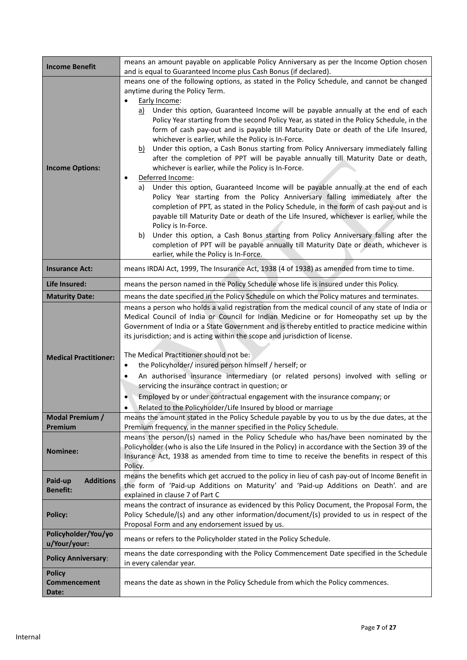| <b>Income Benefit</b>        | means an amount payable on applicable Policy Anniversary as per the Income Option chosen<br>and is equal to Guaranteed Income plus Cash Bonus (if declared). |  |  |
|------------------------------|--------------------------------------------------------------------------------------------------------------------------------------------------------------|--|--|
|                              | means one of the following options, as stated in the Policy Schedule, and cannot be changed                                                                  |  |  |
|                              | anytime during the Policy Term.                                                                                                                              |  |  |
|                              | Early Income:                                                                                                                                                |  |  |
|                              | Under this option, Guaranteed Income will be payable annually at the end of each<br>a)                                                                       |  |  |
|                              | Policy Year starting from the second Policy Year, as stated in the Policy Schedule, in the                                                                   |  |  |
|                              | form of cash pay-out and is payable till Maturity Date or death of the Life Insured,                                                                         |  |  |
|                              | whichever is earlier, while the Policy is In-Force.                                                                                                          |  |  |
|                              | Under this option, a Cash Bonus starting from Policy Anniversary immediately falling<br><u>b)</u>                                                            |  |  |
|                              | after the completion of PPT will be payable annually till Maturity Date or death,                                                                            |  |  |
| <b>Income Options:</b>       | whichever is earlier, while the Policy is In-Force.                                                                                                          |  |  |
|                              | Deferred Income:                                                                                                                                             |  |  |
|                              | Under this option, Guaranteed Income will be payable annually at the end of each<br>a)                                                                       |  |  |
|                              | Policy Year starting from the Policy Anniversary falling immediately after the                                                                               |  |  |
|                              | completion of PPT, as stated in the Policy Schedule, in the form of cash pay-out and is                                                                      |  |  |
|                              | payable till Maturity Date or death of the Life Insured, whichever is earlier, while the                                                                     |  |  |
|                              | Policy is In-Force.                                                                                                                                          |  |  |
|                              | Under this option, a Cash Bonus starting from Policy Anniversary falling after the<br>b)                                                                     |  |  |
|                              | completion of PPT will be payable annually till Maturity Date or death, whichever is                                                                         |  |  |
|                              | earlier, while the Policy is In-Force.                                                                                                                       |  |  |
| <b>Insurance Act:</b>        | means IRDAI Act, 1999, The Insurance Act, 1938 (4 of 1938) as amended from time to time.                                                                     |  |  |
| Life Insured:                | means the person named in the Policy Schedule whose life is insured under this Policy.                                                                       |  |  |
| <b>Maturity Date:</b>        | means the date specified in the Policy Schedule on which the Policy matures and terminates.                                                                  |  |  |
|                              | means a person who holds a valid registration from the medical council of any state of India or                                                              |  |  |
|                              | Medical Council of India or Council for Indian Medicine or for Homeopathy set up by the                                                                      |  |  |
|                              | Government of India or a State Government and is thereby entitled to practice medicine within                                                                |  |  |
|                              | its jurisdiction; and is acting within the scope and jurisdiction of license.                                                                                |  |  |
|                              |                                                                                                                                                              |  |  |
| <b>Medical Practitioner:</b> | The Medical Practitioner should not be:                                                                                                                      |  |  |
|                              | the Policyholder/insured person himself / herself; or<br>$\bullet$                                                                                           |  |  |
|                              | An authorised insurance intermediary (or related persons) involved with selling or<br>٠                                                                      |  |  |
|                              | servicing the insurance contract in question; or                                                                                                             |  |  |
|                              | Employed by or under contractual engagement with the insurance company; or<br>$\bullet$                                                                      |  |  |
|                              | Related to the Policyholder/Life Insured by blood or marriage                                                                                                |  |  |
| Modal Premium /              | means the amount stated in the Policy Schedule payable by you to us by the due dates, at the                                                                 |  |  |
| Premium                      | Premium frequency, in the manner specified in the Policy Schedule.<br>means the person/(s) named in the Policy Schedule who has/have been nominated by the   |  |  |
|                              | Policyholder (who is also the Life Insured in the Policy) in accordance with the Section 39 of the                                                           |  |  |
| <b>Nominee:</b>              | Insurance Act, 1938 as amended from time to time to receive the benefits in respect of this                                                                  |  |  |
|                              | Policy.                                                                                                                                                      |  |  |
|                              | means the benefits which get accrued to the policy in lieu of cash pay-out of Income Benefit in                                                              |  |  |
| <b>Additions</b><br>Paid-up  | the form of 'Paid-up Additions on Maturity' and 'Paid-up Additions on Death'. and are                                                                        |  |  |
| <b>Benefit:</b>              | explained in clause 7 of Part C                                                                                                                              |  |  |
|                              | means the contract of insurance as evidenced by this Policy Document, the Proposal Form, the                                                                 |  |  |
| <b>Policy:</b>               | Policy Schedule/(s) and any other information/document/(s) provided to us in respect of the                                                                  |  |  |
|                              | Proposal Form and any endorsement issued by us.                                                                                                              |  |  |
| Policyholder/You/yo          | means or refers to the Policyholder stated in the Policy Schedule.                                                                                           |  |  |
| u/Your/your:                 |                                                                                                                                                              |  |  |
| <b>Policy Anniversary:</b>   | means the date corresponding with the Policy Commencement Date specified in the Schedule                                                                     |  |  |
| <b>Policy</b>                | in every calendar year.                                                                                                                                      |  |  |
| <b>Commencement</b>          | means the date as shown in the Policy Schedule from which the Policy commences.                                                                              |  |  |
| <b>Date:</b>                 |                                                                                                                                                              |  |  |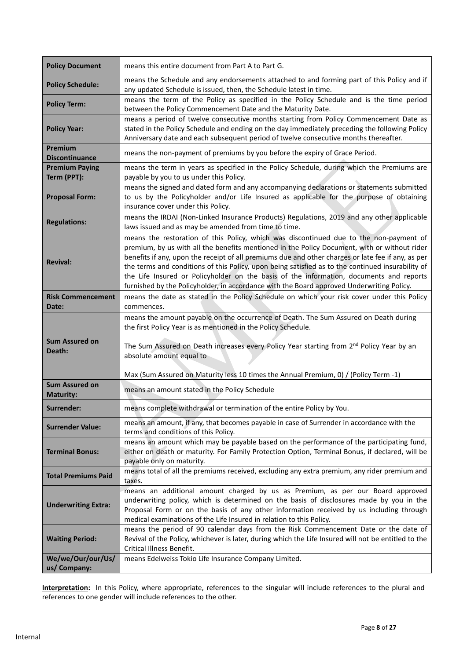| <b>Policy Document</b>               | means this entire document from Part A to Part G.                                                                                                                                                                                                                                                                                                                                                                                                                                                                                                                                         |
|--------------------------------------|-------------------------------------------------------------------------------------------------------------------------------------------------------------------------------------------------------------------------------------------------------------------------------------------------------------------------------------------------------------------------------------------------------------------------------------------------------------------------------------------------------------------------------------------------------------------------------------------|
| <b>Policy Schedule:</b>              | means the Schedule and any endorsements attached to and forming part of this Policy and if<br>any updated Schedule is issued, then, the Schedule latest in time.                                                                                                                                                                                                                                                                                                                                                                                                                          |
| <b>Policy Term:</b>                  | means the term of the Policy as specified in the Policy Schedule and is the time period<br>between the Policy Commencement Date and the Maturity Date.                                                                                                                                                                                                                                                                                                                                                                                                                                    |
| <b>Policy Year:</b>                  | means a period of twelve consecutive months starting from Policy Commencement Date as<br>stated in the Policy Schedule and ending on the day immediately preceding the following Policy<br>Anniversary date and each subsequent period of twelve consecutive months thereafter.                                                                                                                                                                                                                                                                                                           |
| Premium<br><b>Discontinuance</b>     | means the non-payment of premiums by you before the expiry of Grace Period.                                                                                                                                                                                                                                                                                                                                                                                                                                                                                                               |
| <b>Premium Paying</b><br>Term (PPT): | means the term in years as specified in the Policy Schedule, during which the Premiums are<br>payable by you to us under this Policy.                                                                                                                                                                                                                                                                                                                                                                                                                                                     |
| <b>Proposal Form:</b>                | means the signed and dated form and any accompanying declarations or statements submitted<br>to us by the Policyholder and/or Life Insured as applicable for the purpose of obtaining<br>insurance cover under this Policy.                                                                                                                                                                                                                                                                                                                                                               |
| <b>Regulations:</b>                  | means the IRDAI (Non-Linked Insurance Products) Regulations, 2019 and any other applicable<br>laws issued and as may be amended from time to time.                                                                                                                                                                                                                                                                                                                                                                                                                                        |
| <b>Revival:</b>                      | means the restoration of this Policy, which was discontinued due to the non-payment of<br>premium, by us with all the benefits mentioned in the Policy Document, with or without rider<br>benefits if any, upon the receipt of all premiums due and other charges or late fee if any, as per<br>the terms and conditions of this Policy, upon being satisfied as to the continued insurability of<br>the Life Insured or Policyholder on the basis of the information, documents and reports<br>furnished by the Policyholder, in accordance with the Board approved Underwriting Policy. |
| <b>Risk Commencement</b><br>Date:    | means the date as stated in the Policy Schedule on which your risk cover under this Policy<br>commences.                                                                                                                                                                                                                                                                                                                                                                                                                                                                                  |
| <b>Sum Assured on</b><br>Death:      | means the amount payable on the occurrence of Death. The Sum Assured on Death during<br>the first Policy Year is as mentioned in the Policy Schedule.<br>The Sum Assured on Death increases every Policy Year starting from 2 <sup>nd</sup> Policy Year by an<br>absolute amount equal to<br>Max (Sum Assured on Maturity less 10 times the Annual Premium, 0) / (Policy Term -1)                                                                                                                                                                                                         |
| <b>Sum Assured on</b>                | means an amount stated in the Policy Schedule                                                                                                                                                                                                                                                                                                                                                                                                                                                                                                                                             |
| <b>Maturity:</b><br>Surrender:       | means complete withdrawal or termination of the entire Policy by You.                                                                                                                                                                                                                                                                                                                                                                                                                                                                                                                     |
| <b>Surrender Value:</b>              | means an amount, if any, that becomes payable in case of Surrender in accordance with the<br>terms and conditions of this Policy.                                                                                                                                                                                                                                                                                                                                                                                                                                                         |
| <b>Terminal Bonus:</b>               | means an amount which may be payable based on the performance of the participating fund,<br>either on death or maturity. For Family Protection Option, Terminal Bonus, if declared, will be<br>payable only on maturity.                                                                                                                                                                                                                                                                                                                                                                  |
| <b>Total Premiums Paid</b>           | means total of all the premiums received, excluding any extra premium, any rider premium and<br>taxes.                                                                                                                                                                                                                                                                                                                                                                                                                                                                                    |
| <b>Underwriting Extra:</b>           | means an additional amount charged by us as Premium, as per our Board approved<br>underwriting policy, which is determined on the basis of disclosures made by you in the<br>Proposal Form or on the basis of any other information received by us including through<br>medical examinations of the Life Insured in relation to this Policy.                                                                                                                                                                                                                                              |
| <b>Waiting Period:</b>               | means the period of 90 calendar days from the Risk Commencement Date or the date of<br>Revival of the Policy, whichever is later, during which the Life Insured will not be entitled to the<br>Critical Illness Benefit.                                                                                                                                                                                                                                                                                                                                                                  |
| We/we/Our/our/Us/<br>us/ Company:    | means Edelweiss Tokio Life Insurance Company Limited.                                                                                                                                                                                                                                                                                                                                                                                                                                                                                                                                     |

**Interpretation:** In this Policy, where appropriate, references to the singular will include references to the plural and references to one gender will include references to the other.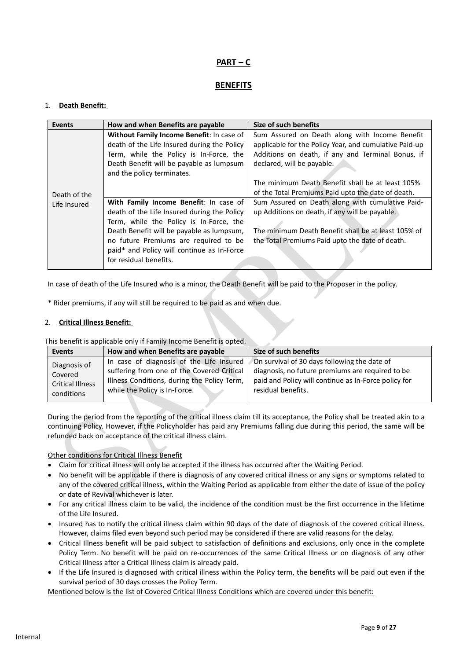# **PART – C**

## **BENEFITS**

## 1. **Death Benefit:**

| <b>Events</b> | How and when Benefits are payable           | Size of such benefits                                  |
|---------------|---------------------------------------------|--------------------------------------------------------|
|               | Without Family Income Benefit: In case of   | Sum Assured on Death along with Income Benefit         |
|               | death of the Life Insured during the Policy | applicable for the Policy Year, and cumulative Paid-up |
|               | Term, while the Policy is In-Force, the     | Additions on death, if any and Terminal Bonus, if      |
|               | Death Benefit will be payable as lumpsum    | declared, will be payable.                             |
|               | and the policy terminates.                  |                                                        |
|               |                                             | The minimum Death Benefit shall be at least 105%       |
| Death of the  |                                             | of the Total Premiums Paid upto the date of death.     |
| Life Insured  | With Family Income Benefit: In case of      | Sum Assured on Death along with cumulative Paid-       |
|               | death of the Life Insured during the Policy | up Additions on death, if any will be payable.         |
|               | Term, while the Policy is In-Force, the     |                                                        |
|               | Death Benefit will be payable as lumpsum,   | The minimum Death Benefit shall be at least 105% of    |
|               | no future Premiums are required to be       | the Total Premiums Paid upto the date of death.        |
|               | paid* and Policy will continue as In-Force  |                                                        |
|               | for residual benefits.                      |                                                        |
|               |                                             |                                                        |

In case of death of the Life Insured who is a minor, the Death Benefit will be paid to the Proposer in the policy.

\* Rider premiums, if any will still be required to be paid as and when due.

## 2. **Critical Illness Benefit:**

This benefit is applicable only if Family Income Benefit is opted.

| Events                  | How and when Benefits are payable           | Size of such benefits                                |
|-------------------------|---------------------------------------------|------------------------------------------------------|
| Diagnosis of            | In case of diagnosis of the Life Insured    | On survival of 30 days following the date of         |
| Covered                 | suffering from one of the Covered Critical  | diagnosis, no future premiums are required to be     |
| <b>Critical Illness</b> | Illness Conditions, during the Policy Term, | paid and Policy will continue as In-Force policy for |
| conditions              | while the Policy is In-Force.               | residual benefits.                                   |

During the period from the reporting of the critical illness claim till its acceptance, the Policy shall be treated akin to a continuing Policy. However, if the Policyholder has paid any Premiums falling due during this period, the same will be refunded back on acceptance of the critical illness claim.

## Other conditions for Critical Illness Benefit

- Claim for critical illness will only be accepted if the illness has occurred after the Waiting Period.
- No benefit will be applicable if there is diagnosis of any covered critical illness or any signs or symptoms related to any of the covered critical illness, within the Waiting Period as applicable from either the date of issue of the policy or date of Revival whichever is later.
- For any critical illness claim to be valid, the incidence of the condition must be the first occurrence in the lifetime of the Life Insured.
- Insured has to notify the critical illness claim within 90 days of the date of diagnosis of the covered critical illness. However, claims filed even beyond such period may be considered if there are valid reasons for the delay.
- Critical Illness benefit will be paid subject to satisfaction of definitions and exclusions, only once in the complete Policy Term. No benefit will be paid on re-occurrences of the same Critical Illness or on diagnosis of any other Critical Illness after a Critical Illness claim is already paid.
- If the Life Insured is diagnosed with critical illness within the Policy term, the benefits will be paid out even if the survival period of 30 days crosses the Policy Term.

Mentioned below is the list of Covered Critical Illness Conditions which are covered under this benefit: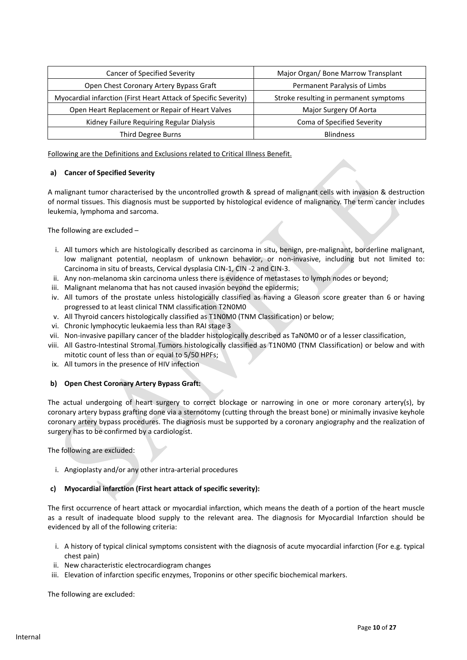| Cancer of Specified Severity                                    | Major Organ/ Bone Marrow Transplant    |
|-----------------------------------------------------------------|----------------------------------------|
| Open Chest Coronary Artery Bypass Graft                         | Permanent Paralysis of Limbs           |
| Myocardial infarction (First Heart Attack of Specific Severity) | Stroke resulting in permanent symptoms |
| Open Heart Replacement or Repair of Heart Valves                | Major Surgery Of Aorta                 |
| Kidney Failure Requiring Regular Dialysis                       | Coma of Specified Severity             |
| Third Degree Burns                                              | <b>Blindness</b>                       |

Following are the Definitions and Exclusions related to Critical Illness Benefit.

## **a) Cancer of Specified Severity**

A malignant tumor characterised by the uncontrolled growth & spread of malignant cells with invasion & destruction of normal tissues. This diagnosis must be supported by histological evidence of malignancy. The term cancer includes leukemia, lymphoma and sarcoma.

The following are excluded –

- i. All tumors which are histologically described as carcinoma in situ, benign, pre-malignant, borderline malignant, low malignant potential, neoplasm of unknown behavior, or non-invasive, including but not limited to: Carcinoma in situ of breasts, Cervical dysplasia CIN-1, CIN -2 and CIN-3.
- ii. Any non-melanoma skin carcinoma unless there is evidence of metastases to lymph nodes or beyond;
- iii. Malignant melanoma that has not caused invasion beyond the epidermis;
- iv. All tumors of the prostate unless histologically classified as having a Gleason score greater than 6 or having progressed to at least clinical TNM classification T2N0M0
- v. All Thyroid cancers histologically classified as T1N0M0 (TNM Classification) or below;
- vi. Chronic lymphocytic leukaemia less than RAI stage 3
- vii. Non-invasive papillary cancer of the bladder histologically described as TaN0M0 or of a lesser classification,
- viii. All Gastro-Intestinal Stromal Tumors histologically classified as T1N0M0 (TNM Classification) or below and with mitotic count of less than or equal to 5/50 HPFs;
- ix. All tumors in the presence of HIV infection

#### **b) Open Chest Coronary Artery Bypass Graft:**

The actual undergoing of heart surgery to correct blockage or narrowing in one or more coronary artery(s), by coronary artery bypass grafting done via a sternotomy (cutting through the breast bone) or minimally invasive keyhole coronary artery bypass procedures. The diagnosis must be supported by a coronary angiography and the realization of surgery has to be confirmed by a cardiologist.

The following are excluded:

i. Angioplasty and/or any other intra-arterial procedures

#### **c) Myocardial infarction (First heart attack of specific severity):**

The first occurrence of heart attack or myocardial infarction, which means the death of a portion of the heart muscle as a result of inadequate blood supply to the relevant area. The diagnosis for Myocardial Infarction should be evidenced by all of the following criteria:

- i. A history of typical clinical symptoms consistent with the diagnosis of acute myocardial infarction (For e.g. typical chest pain)
- ii. New characteristic electrocardiogram changes
- iii. Elevation of infarction specific enzymes, Troponins or other specific biochemical markers.

The following are excluded: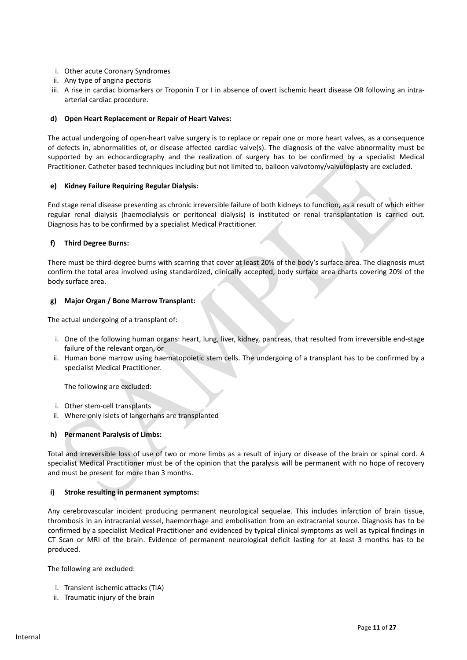- i. Other acute Coronary Syndromes
- ii. Any type of angina pectoris
- iii. A rise in cardiac biomarkers or Troponin T or I in absence of overt ischemic heart disease OR following an intraarterial cardiac procedure.

#### **d) Open Heart Replacement or Repair of Heart Valves:**

The actual undergoing of open-heart valve surgery is to replace or repair one or more heart valves, as a consequence of defects in, abnormalities of, or disease affected cardiac valve(s). The diagnosis of the valve abnormality must be supported by an echocardiography and the realization of surgery has to be confirmed by a specialist Medical Practitioner. Catheter based techniques including but not limited to, balloon valvotomy/valvuloplasty are excluded.

#### **e) Kidney Failure Requiring Regular Dialysis:**

End stage renal disease presenting as chronic irreversible failure of both kidneys to function, as a result of which either regular renal dialysis (haemodialysis or peritoneal dialysis) is instituted or renal transplantation is carried out. Diagnosis has to be confirmed by a specialist Medical Practitioner.

#### **f) Third Degree Burns:**

There must be third-degree burns with scarring that cover at least 20% of the body's surface area. The diagnosis must confirm the total area involved using standardized, clinically accepted, body surface area charts covering 20% of the body surface area.

#### **g) Major Organ / Bone Marrow Transplant:**

The actual undergoing of a transplant of:

- i. One of the following human organs: heart, lung, liver, kidney, pancreas, that resulted from irreversible end-stage failure of the relevant organ, or
- ii. Human bone marrow using haematopoietic stem cells. The undergoing of a transplant has to be confirmed by a specialist Medical Practitioner.

The following are excluded:

- i. Other stem-cell transplants
- ii. Where only islets of langerhans are transplanted

#### **h) Permanent Paralysis of Limbs:**

Total and irreversible loss of use of two or more limbs as a result of injury or disease of the brain or spinal cord. A specialist Medical Practitioner must be of the opinion that the paralysis will be permanent with no hope of recovery and must be present for more than 3 months.

#### **i) Stroke resulting in permanent symptoms:**

Any cerebrovascular incident producing permanent neurological sequelae. This includes infarction of brain tissue, thrombosis in an intracranial vessel, haemorrhage and embolisation from an extracranial source. Diagnosis has to be confirmed by a specialist Medical Practitioner and evidenced by typical clinical symptoms as well as typical findings in CT Scan or MRI of the brain. Evidence of permanent neurological deficit lasting for at least 3 months has to be produced.

The following are excluded:

- i. Transient ischemic attacks (TIA)
- ii. Traumatic injury of the brain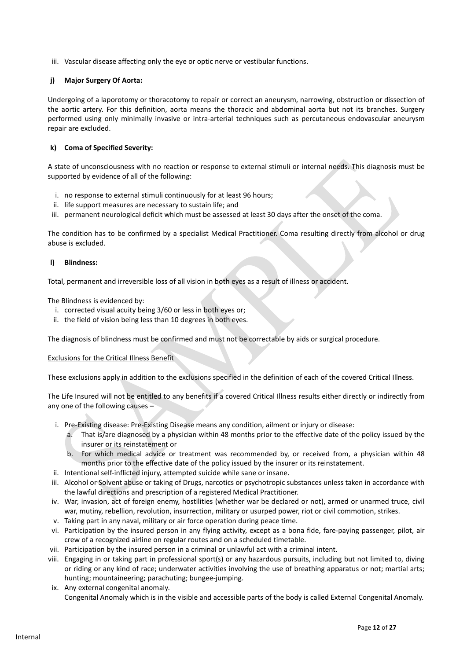iii. Vascular disease affecting only the eye or optic nerve or vestibular functions.

#### **j) Major Surgery Of Aorta:**

Undergoing of a laporotomy or thoracotomy to repair or correct an aneurysm, narrowing, obstruction or dissection of the aortic artery. For this definition, aorta means the thoracic and abdominal aorta but not its branches. Surgery performed using only minimally invasive or intra-arterial techniques such as percutaneous endovascular aneurysm repair are excluded.

#### **k) Coma of Specified Severity:**

A state of unconsciousness with no reaction or response to external stimuli or internal needs. This diagnosis must be supported by evidence of all of the following:

- i. no response to external stimuli continuously for at least 96 hours;
- ii. life support measures are necessary to sustain life; and
- iii. permanent neurological deficit which must be assessed at least 30 days after the onset of the coma.

The condition has to be confirmed by a specialist Medical Practitioner. Coma resulting directly from alcohol or drug abuse is excluded.

#### **l) Blindness:**

Total, permanent and irreversible loss of all vision in both eyes as a result of illness or accident.

The Blindness is evidenced by:

- i. corrected visual acuity being 3/60 or less in both eyes or;
- ii. the field of vision being less than 10 degrees in both eyes.

The diagnosis of blindness must be confirmed and must not be correctable by aids or surgical procedure.

#### Exclusions for the Critical Illness Benefit

These exclusions apply in addition to the exclusions specified in the definition of each of the covered Critical Illness.

The Life Insured will not be entitled to any benefits if a covered Critical Illness results either directly or indirectly from any one of the following causes –

- i. Pre-Existing disease: Pre-Existing Disease means any condition, ailment or injury or disease:
	- a. That is/are diagnosed by a physician within 48 months prior to the effective date of the policy issued by the insurer or its reinstatement or
	- b. For which medical advice or treatment was recommended by, or received from, a physician within 48 months prior to the effective date of the policy issued by the insurer or its reinstatement.
- ii. Intentional self-inflicted injury, attempted suicide while sane or insane.
- iii. Alcohol or Solvent abuse or taking of Drugs, narcotics or psychotropic substances unless taken in accordance with the lawful directions and prescription of a registered Medical Practitioner.
- iv. War, invasion, act of foreign enemy, hostilities (whether war be declared or not), armed or unarmed truce, civil war, mutiny, rebellion, revolution, insurrection, military or usurped power, riot or civil commotion, strikes.
- v. Taking part in any naval, military or air force operation during peace time.
- vi. Participation by the insured person in any flying activity, except as a bona fide, fare-paying passenger, pilot, air crew of a recognized airline on regular routes and on a scheduled timetable.
- vii. Participation by the insured person in a criminal or unlawful act with a criminal intent.
- viii. Engaging in or taking part in professional sport(s) or any hazardous pursuits, including but not limited to, diving or riding or any kind of race; underwater activities involving the use of breathing apparatus or not; martial arts; hunting; mountaineering; parachuting; bungee-jumping.
- ix. Any external congenital anomaly. Congenital Anomaly which is in the visible and accessible parts of the body is called External Congenital Anomaly.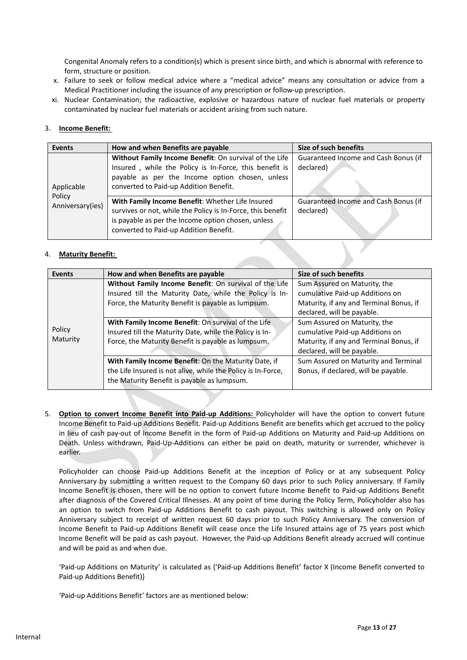Congenital Anomaly refers to a condition(s) which is present since birth, and which is abnormal with reference to form, structure or position.

- x. Failure to seek or follow medical advice where a "medical advice" means any consultation or advice from a Medical Practitioner including the issuance of any prescription or follow-up prescription.
- xi. Nuclear Contamination; the radioactive, explosive or hazardous nature of nuclear fuel materials or property contaminated by nuclear fuel materials or accident arising from such nature.

## 3. **Income Benefit:**

| <b>Events</b>    | How and when Benefits are payable                           | Size of such benefits                |
|------------------|-------------------------------------------------------------|--------------------------------------|
|                  | Without Family Income Benefit: On survival of the Life      | Guaranteed Income and Cash Bonus (if |
|                  | Insured, while the Policy is In-Force, this benefit is      | declared)                            |
|                  | payable as per the Income option chosen, unless             |                                      |
| Applicable       | converted to Paid-up Addition Benefit.                      |                                      |
| Policy           | With Family Income Benefit: Whether Life Insured            | Guaranteed Income and Cash Bonus (if |
| Anniversary(ies) |                                                             |                                      |
|                  | survives or not, while the Policy is In-Force, this benefit | declared)                            |
|                  | is payable as per the Income option chosen, unless          |                                      |
|                  | converted to Paid-up Addition Benefit.                      |                                      |

## 4. **Maturity Benefit:**

| <b>Events</b> | How and when Benefits are payable                            | Size of such benefits                   |
|---------------|--------------------------------------------------------------|-----------------------------------------|
|               | Without Family Income Benefit: On survival of the Life       | Sum Assured on Maturity, the            |
|               | Insured till the Maturity Date, while the Policy is In-      | cumulative Paid-up Additions on         |
|               | Force, the Maturity Benefit is payable as lumpsum.           | Maturity, if any and Terminal Bonus, if |
|               |                                                              | declared, will be payable.              |
|               | With Family Income Benefit: On survival of the Life          | Sum Assured on Maturity, the            |
| Policy        | Insured till the Maturity Date, while the Policy is In-      | cumulative Paid-up Additions on         |
| Maturity      | Force, the Maturity Benefit is payable as lumpsum.           | Maturity, if any and Terminal Bonus, if |
|               |                                                              | declared, will be payable.              |
|               | With Family Income Benefit: On the Maturity Date, if         | Sum Assured on Maturity and Terminal    |
|               | the Life Insured is not alive, while the Policy is In-Force, | Bonus, if declared, will be payable.    |
|               | the Maturity Benefit is payable as lumpsum.                  |                                         |
|               |                                                              |                                         |

5. **Option to convert Income Benefit into Paid-up Additions:** Policyholder will have the option to convert future Income Benefit to Paid-up Additions Benefit. Paid-up Additions Benefit are benefits which get accrued to the policy in lieu of cash pay-out of Income Benefit in the form of Paid-up Additions on Maturity and Paid-up Additions on Death. Unless withdrawn, Paid-Up-Additions can either be paid on death, maturity or surrender, whichever is earlier.

Policyholder can choose Paid-up Additions Benefit at the inception of Policy or at any subsequent Policy Anniversary by submitting a written request to the Company 60 days prior to such Policy anniversary. If Family Income Benefit is chosen, there will be no option to convert future Income Benefit to Paid-up Additions Benefit after diagnosis of the Covered Critical Illnesses. At any point of time during the Policy Term, Policyholder also has an option to switch from Paid-up Additions Benefit to cash payout. This switching is allowed only on Policy Anniversary subject to receipt of written request 60 days prior to such Policy Anniversary. The conversion of Income Benefit to Paid-up Additions Benefit will cease once the Life Insured attains age of 75 years post which Income Benefit will be paid as cash payout. However, the Paid-up Additions Benefit already accrued will continue and will be paid as and when due.

'Paid-up Additions on Maturity' is calculated as {'Paid-up Additions Benefit' factor X (Income Benefit converted to Paid-up Additions Benefit)}

'Paid-up Additions Benefit' factors are as mentioned below: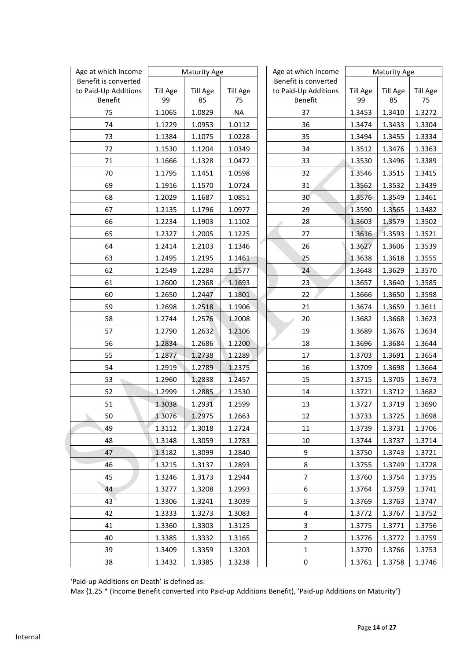| Age at which Income             |                       | <b>Maturity Age</b>   |                       | Age at which Income             |                       | <b>Maturity Age</b>   |                       |
|---------------------------------|-----------------------|-----------------------|-----------------------|---------------------------------|-----------------------|-----------------------|-----------------------|
| Benefit is converted            |                       |                       |                       | Benefit is converted            |                       |                       |                       |
| to Paid-Up Additions<br>Benefit | <b>Till Age</b><br>99 | <b>Till Age</b><br>85 | <b>Till Age</b><br>75 | to Paid-Up Additions<br>Benefit | <b>Till Age</b><br>99 | <b>Till Age</b><br>85 | <b>Till Age</b><br>75 |
| 75                              | 1.1065                | 1.0829                | <b>NA</b>             | 37                              | 1.3453                | 1.3410                | 1.3272                |
| 74                              | 1.1229                | 1.0953                | 1.0112                | 36                              | 1.3474                | 1.3433                | 1.3304                |
| 73                              | 1.1384                | 1.1075                | 1.0228                | 35                              | 1.3494                | 1.3455                | 1.3334                |
| 72                              | 1.1530                | 1.1204                | 1.0349                | 34                              | 1.3512                | 1.3476                | 1.3363                |
| 71                              | 1.1666                | 1.1328                | 1.0472                | 33                              | 1.3530                | 1.3496                | 1.3389                |
| 70                              | 1.1795                | 1.1451                | 1.0598                | 32                              | 1.3546                | 1.3515                | 1.3415                |
| 69                              | 1.1916                | 1.1570                | 1.0724                | 31                              | 1.3562                | 1.3532                | 1.3439                |
| 68                              | 1.2029                | 1.1687                | 1.0851                | 30                              | 1.3576                | 1.3549                | 1.3461                |
| 67                              | 1.2135                | 1.1796                | 1.0977                | 29                              | 1.3590                | 1.3565                | 1.3482                |
| 66                              | 1.2234                | 1.1903                | 1.1102                | 28                              | 1.3603                | 1.3579                | 1.3502                |
| 65                              | 1.2327                | 1.2005                | 1.1225                | 27                              | 1.3616                | 1.3593                | 1.3521                |
| 64                              | 1.2414                | 1.2103                | 1.1346                | 26                              | 1.3627                | 1.3606                | 1.3539                |
| 63                              | 1.2495                | 1.2195                | 1.1461                | 25                              | 1.3638                | 1.3618                | 1.3555                |
| 62                              | 1.2549                | 1.2284                | 1.1577                | 24                              | 1.3648                | 1.3629                | 1.3570                |
| 61                              | 1.2600                | 1.2368                | 1.1693                | 23                              | 1.3657                | 1.3640                | 1.3585                |
| 60                              | 1.2650                | 1.2447                | 1.1801                | 22                              | 1.3666                | 1.3650                | 1.3598                |
| 59                              | 1.2698                | 1.2518                | 1.1906                | 21                              | 1.3674                | 1.3659                | 1.3611                |
| 58                              | 1.2744                | 1.2576                | 1.2008                | 20                              | 1.3682                | 1.3668                | 1.3623                |
| 57                              | 1.2790                | 1.2632                | 1.2106                | 19                              | 1.3689                | 1.3676                | 1.3634                |
| 56                              | 1.2834                | 1.2686                | 1.2200                | 18                              | 1.3696                | 1.3684                | 1.3644                |
| 55                              | 1.2877                | 1.2738                | 1.2289                | 17                              | 1.3703                | 1.3691                | 1.3654                |
| 54                              | 1.2919                | 1.2789                | 1.2375                | 16                              | 1.3709                | 1.3698                | 1.3664                |
| 53                              | 1.2960                | 1.2838                | 1.2457                | 15                              | 1.3715                | 1.3705                | 1.3673                |
| 52                              | 1.2999                | 1.2885                | 1.2530                | 14                              | 1.3721                | 1.3712                | 1.3682                |
| 51                              | 1.3038                | 1.2931                | 1.2599                | 13                              | 1.3727                | 1.3719                | 1.3690                |
| 50                              | 1.3076                | 1.2975                | 1.2663                | 12                              | 1.3733                | 1.3725                | 1.3698                |
| 49                              | 1.3112                | 1.3018                | 1.2724                | 11                              | 1.3739                | 1.3731                | 1.3706                |
| 48                              | 1.3148                | 1.3059                | 1.2783                | 10                              | 1.3744                | 1.3737                | 1.3714                |
| 47                              | 1.3182                | 1.3099                | 1.2840                | 9                               | 1.3750                | 1.3743                | 1.3721                |
| 46                              | 1.3215                | 1.3137                | 1.2893                | 8                               | 1.3755                | 1.3749                | 1.3728                |
| 45                              | 1.3246                | 1.3173                | 1.2944                | $\overline{7}$                  | 1.3760                | 1.3754                | 1.3735                |
| 44                              | 1.3277                | 1.3208                | 1.2993                | 6                               | 1.3764                | 1.3759                | 1.3741                |
| 43                              | 1.3306                | 1.3241                | 1.3039                | 5                               | 1.3769                | 1.3763                | 1.3747                |
| 42                              | 1.3333                | 1.3273                | 1.3083                | 4                               | 1.3772                | 1.3767                | 1.3752                |
| 41                              | 1.3360                | 1.3303                | 1.3125                | 3                               | 1.3775                | 1.3771                | 1.3756                |
| 40                              | 1.3385                | 1.3332                | 1.3165                | $\overline{2}$                  | 1.3776                | 1.3772                | 1.3759                |
| 39                              | 1.3409                | 1.3359                | 1.3203                | 1                               | 1.3770                | 1.3766                | 1.3753                |
| 38                              | 1.3432                | 1.3385                | 1.3238                | 0                               | 1.3761                | 1.3758                | 1.3746                |

'Paid-up Additions on Death' is defined as:

Max {1.25 \* (Income Benefit converted into Paid-up Additions Benefit), 'Paid-up Additions on Maturity'}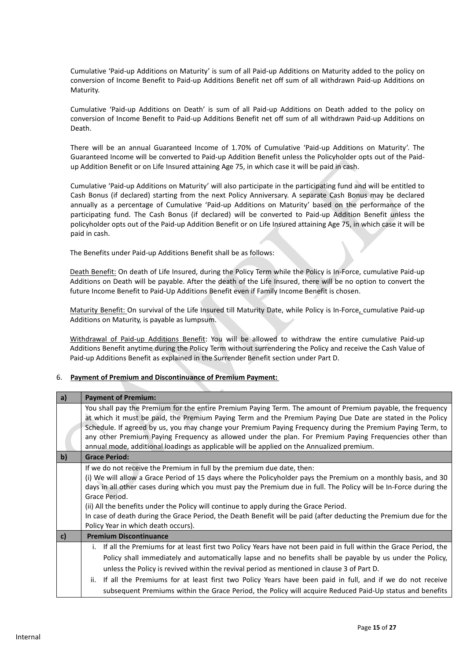Cumulative 'Paid-up Additions on Maturity' is sum of all Paid-up Additions on Maturity added to the policy on conversion of Income Benefit to Paid-up Additions Benefit net off sum of all withdrawn Paid-up Additions on Maturity.

Cumulative 'Paid-up Additions on Death' is sum of all Paid-up Additions on Death added to the policy on conversion of Income Benefit to Paid-up Additions Benefit net off sum of all withdrawn Paid-up Additions on Death.

There will be an annual Guaranteed Income of 1.70% of Cumulative 'Paid-up Additions on Maturity'. The Guaranteed Income will be converted to Paid-up Addition Benefit unless the Policyholder opts out of the Paidup Addition Benefit or on Life Insured attaining Age 75, in which case it will be paid in cash.

Cumulative 'Paid-up Additions on Maturity' will also participate in the participating fund and will be entitled to Cash Bonus (if declared) starting from the next Policy Anniversary. A separate Cash Bonus may be declared annually as a percentage of Cumulative 'Paid-up Additions on Maturity' based on the performance of the participating fund. The Cash Bonus (if declared) will be converted to Paid-up Addition Benefit unless the policyholder opts out of the Paid-up Addition Benefit or on Life Insured attaining Age 75, in which case it will be paid in cash.

The Benefits under Paid-up Additions Benefit shall be as follows:

Death Benefit: On death of Life Insured, during the Policy Term while the Policy is In-Force, cumulative Paid-up Additions on Death will be payable. After the death of the Life Insured, there will be no option to convert the future Income Benefit to Paid-Up Additions Benefit even if Family Income Benefit is chosen.

Maturity Benefit: On survival of the Life Insured till Maturity Date, while Policy is In-Force, cumulative Paid-up Additions on Maturity, is payable as lumpsum.

Withdrawal of Paid-up Additions Benefit: You will be allowed to withdraw the entire cumulative Paid-up Additions Benefit anytime during the Policy Term without surrendering the Policy and receive the Cash Value of Paid-up Additions Benefit as explained in the Surrender Benefit section under Part D.

#### 6. **Payment of Premium and Discontinuance of Premium Payment:**

| a)           | <b>Payment of Premium:</b>                                                                                         |  |
|--------------|--------------------------------------------------------------------------------------------------------------------|--|
|              | You shall pay the Premium for the entire Premium Paying Term. The amount of Premium payable, the frequency         |  |
|              | at which it must be paid, the Premium Paying Term and the Premium Paying Due Date are stated in the Policy         |  |
|              | Schedule. If agreed by us, you may change your Premium Paying Frequency during the Premium Paying Term, to         |  |
|              | any other Premium Paying Frequency as allowed under the plan. For Premium Paying Frequencies other than            |  |
|              | annual mode, additional loadings as applicable will be applied on the Annualized premium.                          |  |
| $\mathbf{b}$ | <b>Grace Period:</b>                                                                                               |  |
|              | If we do not receive the Premium in full by the premium due date, then:                                            |  |
|              | (i) We will allow a Grace Period of 15 days where the Policyholder pays the Premium on a monthly basis, and 30     |  |
|              | days in all other cases during which you must pay the Premium due in full. The Policy will be In-Force during the  |  |
|              | Grace Period.                                                                                                      |  |
|              | (ii) All the benefits under the Policy will continue to apply during the Grace Period.                             |  |
|              | In case of death during the Grace Period, the Death Benefit will be paid (after deducting the Premium due for the  |  |
|              | Policy Year in which death occurs).                                                                                |  |
| c)           | <b>Premium Discontinuance</b>                                                                                      |  |
|              | i. If all the Premiums for at least first two Policy Years have not been paid in full within the Grace Period, the |  |
|              | Policy shall immediately and automatically lapse and no benefits shall be payable by us under the Policy,          |  |
|              | unless the Policy is revived within the revival period as mentioned in clause 3 of Part D.                         |  |
|              | If all the Premiums for at least first two Policy Years have been paid in full, and if we do not receive<br>ii.    |  |
|              | subsequent Premiums within the Grace Period, the Policy will acquire Reduced Paid-Up status and benefits           |  |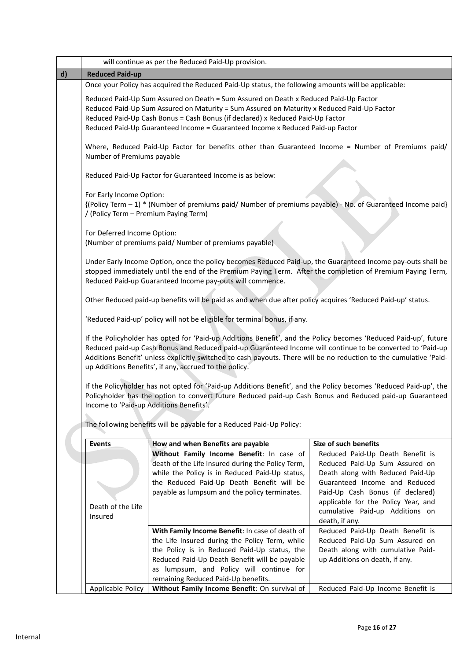|              |                                         | will continue as per the Reduced Paid-Up provision.                                                                                                                                                                                                                                                                                                                                                           |                                                                                                     |
|--------------|-----------------------------------------|---------------------------------------------------------------------------------------------------------------------------------------------------------------------------------------------------------------------------------------------------------------------------------------------------------------------------------------------------------------------------------------------------------------|-----------------------------------------------------------------------------------------------------|
| $\mathsf{d}$ | <b>Reduced Paid-up</b>                  |                                                                                                                                                                                                                                                                                                                                                                                                               |                                                                                                     |
|              |                                         | Once your Policy has acquired the Reduced Paid-Up status, the following amounts will be applicable:                                                                                                                                                                                                                                                                                                           |                                                                                                     |
|              |                                         | Reduced Paid-Up Sum Assured on Death = Sum Assured on Death x Reduced Paid-Up Factor<br>Reduced Paid-Up Sum Assured on Maturity = Sum Assured on Maturity x Reduced Paid-Up Factor<br>Reduced Paid-Up Cash Bonus = Cash Bonus (if declared) x Reduced Paid-Up Factor<br>Reduced Paid-Up Guaranteed Income = Guaranteed Income x Reduced Paid-up Factor                                                        |                                                                                                     |
|              | Number of Premiums payable              | Where, Reduced Paid-Up Factor for benefits other than Guaranteed Income = Number of Premiums paid/                                                                                                                                                                                                                                                                                                            |                                                                                                     |
|              |                                         | Reduced Paid-Up Factor for Guaranteed Income is as below:                                                                                                                                                                                                                                                                                                                                                     |                                                                                                     |
|              | For Early Income Option:                |                                                                                                                                                                                                                                                                                                                                                                                                               |                                                                                                     |
|              | / (Policy Term - Premium Paying Term)   | {(Policy Term - 1) * (Number of premiums paid/ Number of premiums payable) - No. of Guaranteed Income paid}                                                                                                                                                                                                                                                                                                   |                                                                                                     |
|              | For Deferred Income Option:             |                                                                                                                                                                                                                                                                                                                                                                                                               |                                                                                                     |
|              |                                         | (Number of premiums paid/ Number of premiums payable)                                                                                                                                                                                                                                                                                                                                                         |                                                                                                     |
|              |                                         | Under Early Income Option, once the policy becomes Reduced Paid-up, the Guaranteed Income pay-outs shall be<br>stopped immediately until the end of the Premium Paying Term. After the completion of Premium Paying Term,<br>Reduced Paid-up Guaranteed Income pay-outs will commence.                                                                                                                        |                                                                                                     |
|              |                                         | Other Reduced paid-up benefits will be paid as and when due after policy acquires 'Reduced Paid-up' status.                                                                                                                                                                                                                                                                                                   |                                                                                                     |
|              |                                         | 'Reduced Paid-up' policy will not be eligible for terminal bonus, if any.                                                                                                                                                                                                                                                                                                                                     |                                                                                                     |
|              |                                         | If the Policyholder has opted for 'Paid-up Additions Benefit', and the Policy becomes 'Reduced Paid-up', future<br>Reduced paid-up Cash Bonus and Reduced paid-up Guaranteed Income will continue to be converted to 'Paid-up<br>Additions Benefit' unless explicitly switched to cash payouts. There will be no reduction to the cumulative 'Paid-<br>up Additions Benefits', if any, accrued to the policy. |                                                                                                     |
|              | Income to 'Paid-up Additions Benefits'. | If the Policyholder has not opted for 'Paid-up Additions Benefit', and the Policy becomes 'Reduced Paid-up', the<br>Policyholder has the option to convert future Reduced paid-up Cash Bonus and Reduced paid-up Guaranteed                                                                                                                                                                                   |                                                                                                     |
|              |                                         | The following benefits will be payable for a Reduced Paid-Up Policy:                                                                                                                                                                                                                                                                                                                                          |                                                                                                     |
|              | <b>Events</b>                           | How and when Benefits are payable                                                                                                                                                                                                                                                                                                                                                                             | Size of such benefits                                                                               |
|              |                                         | Without Family Income Benefit: In case of                                                                                                                                                                                                                                                                                                                                                                     | Reduced Paid-Up Death Benefit is                                                                    |
|              |                                         | death of the Life Insured during the Policy Term,<br>while the Policy is in Reduced Paid-Up status,<br>the Reduced Paid-Up Death Benefit will be                                                                                                                                                                                                                                                              | Reduced Paid-Up Sum Assured on<br>Death along with Reduced Paid-Up<br>Guaranteed Income and Reduced |
|              |                                         | payable as lumpsum and the policy terminates.                                                                                                                                                                                                                                                                                                                                                                 | Paid-Up Cash Bonus (if declared)                                                                    |
|              | Death of the Life                       |                                                                                                                                                                                                                                                                                                                                                                                                               | applicable for the Policy Year, and                                                                 |
|              | Insured                                 |                                                                                                                                                                                                                                                                                                                                                                                                               | cumulative Paid-up Additions on<br>death, if any.                                                   |
|              |                                         | With Family Income Benefit: In case of death of                                                                                                                                                                                                                                                                                                                                                               | Reduced Paid-Up Death Benefit is                                                                    |
|              |                                         | the Life Insured during the Policy Term, while                                                                                                                                                                                                                                                                                                                                                                | Reduced Paid-Up Sum Assured on                                                                      |
|              |                                         | the Policy is in Reduced Paid-Up status, the                                                                                                                                                                                                                                                                                                                                                                  | Death along with cumulative Paid-                                                                   |
|              |                                         | Reduced Paid-Up Death Benefit will be payable                                                                                                                                                                                                                                                                                                                                                                 | up Additions on death, if any.                                                                      |
|              |                                         | as lumpsum, and Policy will continue for                                                                                                                                                                                                                                                                                                                                                                      |                                                                                                     |
|              |                                         | remaining Reduced Paid-Up benefits.                                                                                                                                                                                                                                                                                                                                                                           |                                                                                                     |
|              | Applicable Policy                       | Without Family Income Benefit: On survival of                                                                                                                                                                                                                                                                                                                                                                 | Reduced Paid-Up Income Benefit is                                                                   |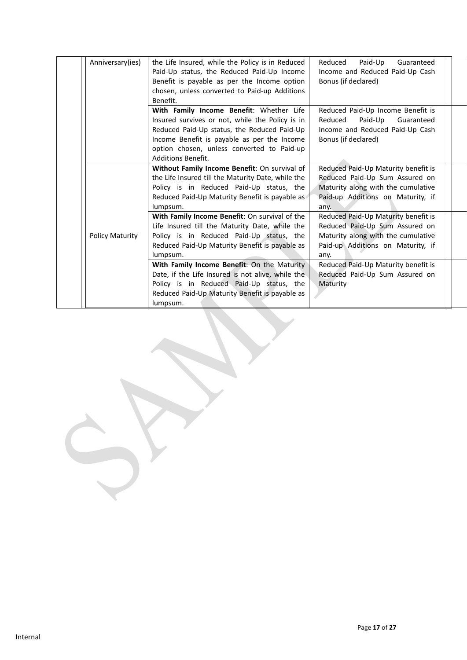| Anniversary(ies)       | the Life Insured, while the Policy is in Reduced<br>Paid-Up status, the Reduced Paid-Up Income<br>Benefit is payable as per the Income option<br>chosen, unless converted to Paid-up Additions<br>Benefit.                                                           | Reduced<br>Paid-Up<br>Guaranteed<br>Income and Reduced Paid-Up Cash<br>Bonus (if declared)                                                               |  |
|------------------------|----------------------------------------------------------------------------------------------------------------------------------------------------------------------------------------------------------------------------------------------------------------------|----------------------------------------------------------------------------------------------------------------------------------------------------------|--|
|                        | With Family Income Benefit: Whether Life<br>Insured survives or not, while the Policy is in<br>Reduced Paid-Up status, the Reduced Paid-Up<br>Income Benefit is payable as per the Income<br>option chosen, unless converted to Paid-up<br><b>Additions Benefit.</b> | Reduced Paid-Up Income Benefit is<br>Reduced<br>Paid-Up<br>Guaranteed<br>Income and Reduced Paid-Up Cash<br>Bonus (if declared)                          |  |
|                        | Without Family Income Benefit: On survival of<br>the Life Insured till the Maturity Date, while the<br>Policy is in Reduced Paid-Up status, the<br>Reduced Paid-Up Maturity Benefit is payable as<br>lumpsum.                                                        | Reduced Paid-Up Maturity benefit is<br>Reduced Paid-Up Sum Assured on<br>Maturity along with the cumulative<br>Paid-up Additions on Maturity, if<br>any. |  |
| <b>Policy Maturity</b> | With Family Income Benefit: On survival of the<br>Life Insured till the Maturity Date, while the<br>Policy is in Reduced Paid-Up status, the<br>Reduced Paid-Up Maturity Benefit is payable as<br>lumpsum.                                                           | Reduced Paid-Up Maturity benefit is<br>Reduced Paid-Up Sum Assured on<br>Maturity along with the cumulative<br>Paid-up Additions on Maturity, if<br>any. |  |
|                        | With Family Income Benefit: On the Maturity<br>Date, if the Life Insured is not alive, while the<br>Policy is in Reduced Paid-Up status, the<br>Reduced Paid-Up Maturity Benefit is payable as<br>lumpsum.                                                           | Reduced Paid-Up Maturity benefit is<br>Reduced Paid-Up Sum Assured on<br>Maturity                                                                        |  |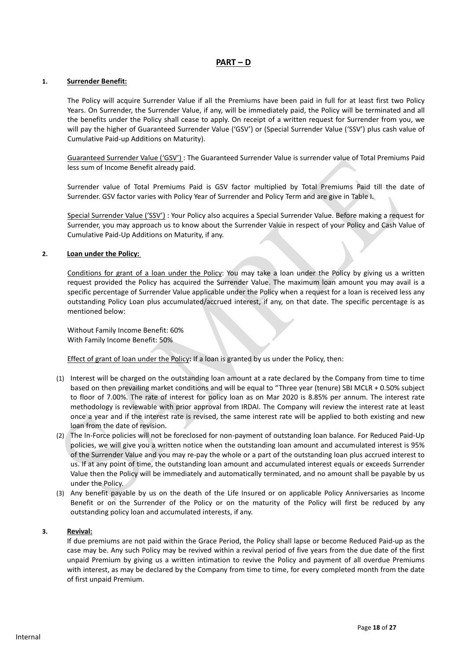## **PART – D**

#### **1. Surrender Benefit:**

The Policy will acquire Surrender Value if all the Premiums have been paid in full for at least first two Policy Years. On Surrender, the Surrender Value, if any, will be immediately paid, the Policy will be terminated and all the benefits under the Policy shall cease to apply. On receipt of a written request for Surrender from you, we will pay the higher of Guaranteed Surrender Value ('GSV') or (Special Surrender Value ('SSV') plus cash value of Cumulative Paid-up Additions on Maturity).

Guaranteed Surrender Value ('GSV') : The Guaranteed Surrender Value is surrender value of Total Premiums Paid less sum of Income Benefit already paid.

Surrender value of Total Premiums Paid is GSV factor multiplied by Total Premiums Paid till the date of Surrender. GSV factor varies with Policy Year of Surrender and Policy Term and are give in Table I.

Special Surrender Value ('SSV') : Your Policy also acquires a Special Surrender Value. Before making a request for Surrender, you may approach us to know about the Surrender Value in respect of your Policy and Cash Value of Cumulative Paid-Up Additions on Maturity, if any.

#### **2. Loan under the Policy:**

Conditions for grant of a loan under the Policy: You may take a loan under the Policy by giving us a written request provided the Policy has acquired the Surrender Value. The maximum loan amount you may avail is a specific percentage of Surrender Value applicable under the Policy when a request for a loan is received less any outstanding Policy Loan plus accumulated/accrued interest, if any, on that date. The specific percentage is as mentioned below:

Without Family Income Benefit: 60% With Family Income Benefit: 50%

Effect of grant of loan under the Policy**:** If a loan is granted by us under the Policy, then:

- (1) Interest will be charged on the outstanding loan amount at a rate declared by the Company from time to time based on then prevailing market conditions and will be equal to "Three year (tenure) SBI MCLR + 0.50% subject to floor of 7.00%. The rate of interest for policy loan as on Mar 2020 is 8.85% per annum. The interest rate methodology is reviewable with prior approval from IRDAI. The Company will review the interest rate at least once a year and if the interest rate is revised, the same interest rate will be applied to both existing and new loan from the date of revision.
- (2) The In-Force policies will not be foreclosed for non-payment of outstanding loan balance. For Reduced Paid-Up policies, we will give you a written notice when the outstanding loan amount and accumulated interest is 95% of the Surrender Value and you may re-pay the whole or a part of the outstanding loan plus accrued interest to us. If at any point of time, the outstanding loan amount and accumulated interest equals or exceeds Surrender Value then the Policy will be immediately and automatically terminated, and no amount shall be payable by us under the Policy.
- (3) Any benefit payable by us on the death of the Life Insured or on applicable Policy Anniversaries as Income Benefit or on the Surrender of the Policy or on the maturity of the Policy will first be reduced by any outstanding policy loan and accumulated interests, if any.

#### **3. Revival:**

If due premiums are not paid within the Grace Period, the Policy shall lapse or become Reduced Paid-up as the case may be. Any such Policy may be revived within a revival period of five years from the due date of the first unpaid Premium by giving us a written intimation to revive the Policy and payment of all overdue Premiums with interest, as may be declared by the Company from time to time, for every completed month from the date of first unpaid Premium.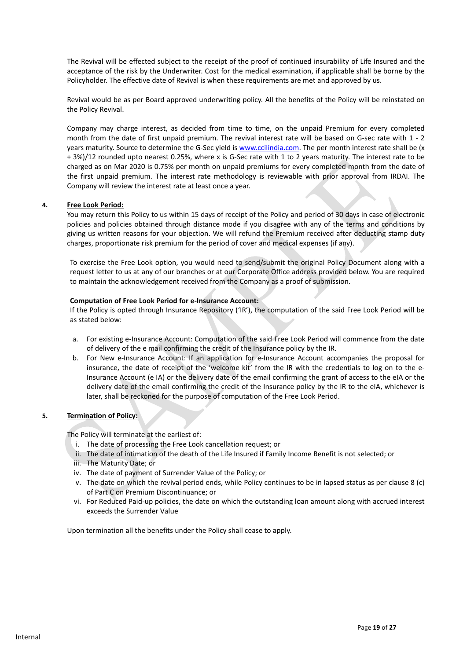The Revival will be effected subject to the receipt of the proof of continued insurability of Life Insured and the acceptance of the risk by the Underwriter. Cost for the medical examination, if applicable shall be borne by the Policyholder. The effective date of Revival is when these requirements are met and approved by us.

Revival would be as per Board approved underwriting policy. All the benefits of the Policy will be reinstated on the Policy Revival.

Company may charge interest, as decided from time to time, on the unpaid Premium for every completed month from the date of first unpaid premium. The revival interest rate will be based on G-sec rate with 1 - 2 years maturity. Source to determine the G-Sec yield is [www.ccilindia.com.](http://www.ccilindia.com/) The per month interest rate shall be (x + 3%)/12 rounded upto nearest 0.25%, where x is G-Sec rate with 1 to 2 years maturity. The interest rate to be charged as on Mar 2020 is 0.75% per month on unpaid premiums for every completed month from the date of the first unpaid premium. The interest rate methodology is reviewable with prior approval from IRDAI. The Company will review the interest rate at least once a year.

#### **4. Free Look Period:**

You may return this Policy to us within 15 days of receipt of the Policy and period of 30 days in case of electronic policies and policies obtained through distance mode if you disagree with any of the terms and conditions by giving us written reasons for your objection. We will refund the Premium received after deducting stamp duty charges, proportionate risk premium for the period of cover and medical expenses (if any).

To exercise the Free Look option, you would need to send/submit the original Policy Document along with a request letter to us at any of our branches or at our Corporate Office address provided below. You are required to maintain the acknowledgement received from the Company as a proof of submission.

#### **Computation of Free Look Period for e-Insurance Account:**

If the Policy is opted through Insurance Repository ('IR'), the computation of the said Free Look Period will be as stated below:

- a. For existing e-Insurance Account: Computation of the said Free Look Period will commence from the date of delivery of the e mail confirming the credit of the Insurance policy by the IR.
- b. For New e-Insurance Account: If an application for e-Insurance Account accompanies the proposal for insurance, the date of receipt of the 'welcome kit' from the IR with the credentials to log on to the e-Insurance Account (e IA) or the delivery date of the email confirming the grant of access to the eIA or the delivery date of the email confirming the credit of the Insurance policy by the IR to the eIA, whichever is later, shall be reckoned for the purpose of computation of the Free Look Period.

#### **5. Termination of Policy:**

The Policy will terminate at the earliest of:

- i. The date of processing the Free Look cancellation request; or
- ii. The date of intimation of the death of the Life Insured if Family Income Benefit is not selected; or
- iii. The Maturity Date; or
- iv. The date of payment of Surrender Value of the Policy; or
- v. The date on which the revival period ends, while Policy continues to be in lapsed status as per clause 8 (c) of Part C on Premium Discontinuance; or
- vi. For Reduced Paid-up policies, the date on which the outstanding loan amount along with accrued interest exceeds the Surrender Value

Upon termination all the benefits under the Policy shall cease to apply.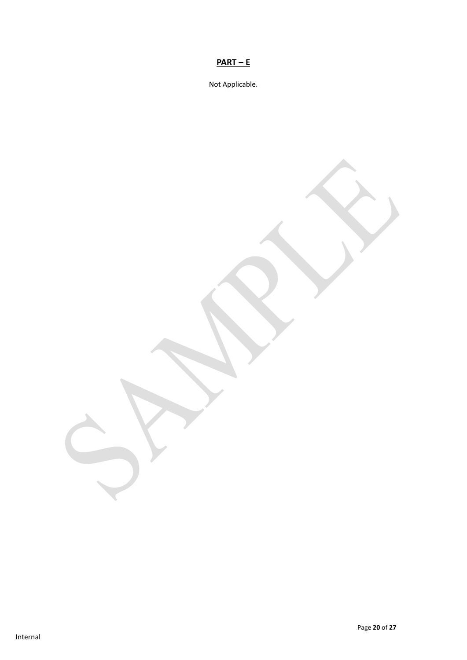# **PART – E**

Not Applicable.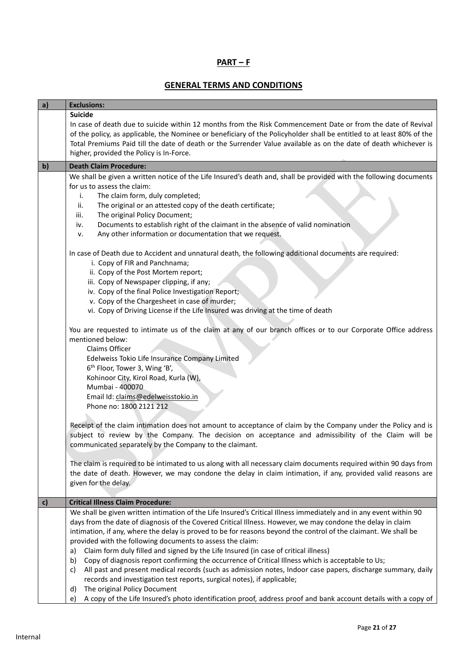## **PART – F**

# **GENERAL TERMS AND CONDITIONS**

| a)           | <b>Exclusions:</b>                                                                                                                                                                                                                                                                                                                                                                                                                                                                                                                                                                                                                                                                                                                                                                                                                                                                                                                                                                                                                        |
|--------------|-------------------------------------------------------------------------------------------------------------------------------------------------------------------------------------------------------------------------------------------------------------------------------------------------------------------------------------------------------------------------------------------------------------------------------------------------------------------------------------------------------------------------------------------------------------------------------------------------------------------------------------------------------------------------------------------------------------------------------------------------------------------------------------------------------------------------------------------------------------------------------------------------------------------------------------------------------------------------------------------------------------------------------------------|
|              | <b>Suicide</b><br>In case of death due to suicide within 12 months from the Risk Commencement Date or from the date of Revival                                                                                                                                                                                                                                                                                                                                                                                                                                                                                                                                                                                                                                                                                                                                                                                                                                                                                                            |
|              | of the policy, as applicable, the Nominee or beneficiary of the Policyholder shall be entitled to at least 80% of the                                                                                                                                                                                                                                                                                                                                                                                                                                                                                                                                                                                                                                                                                                                                                                                                                                                                                                                     |
|              | Total Premiums Paid till the date of death or the Surrender Value available as on the date of death whichever is                                                                                                                                                                                                                                                                                                                                                                                                                                                                                                                                                                                                                                                                                                                                                                                                                                                                                                                          |
|              | higher, provided the Policy is In-Force.                                                                                                                                                                                                                                                                                                                                                                                                                                                                                                                                                                                                                                                                                                                                                                                                                                                                                                                                                                                                  |
| $\mathbf{b}$ | <b>Death Claim Procedure:</b>                                                                                                                                                                                                                                                                                                                                                                                                                                                                                                                                                                                                                                                                                                                                                                                                                                                                                                                                                                                                             |
|              | We shall be given a written notice of the Life Insured's death and, shall be provided with the following documents                                                                                                                                                                                                                                                                                                                                                                                                                                                                                                                                                                                                                                                                                                                                                                                                                                                                                                                        |
|              | for us to assess the claim:                                                                                                                                                                                                                                                                                                                                                                                                                                                                                                                                                                                                                                                                                                                                                                                                                                                                                                                                                                                                               |
|              | The claim form, duly completed;<br>i.<br>The original or an attested copy of the death certificate;<br>ii.                                                                                                                                                                                                                                                                                                                                                                                                                                                                                                                                                                                                                                                                                                                                                                                                                                                                                                                                |
|              | iii.<br>The original Policy Document;                                                                                                                                                                                                                                                                                                                                                                                                                                                                                                                                                                                                                                                                                                                                                                                                                                                                                                                                                                                                     |
|              | Documents to establish right of the claimant in the absence of valid nomination<br>iv.                                                                                                                                                                                                                                                                                                                                                                                                                                                                                                                                                                                                                                                                                                                                                                                                                                                                                                                                                    |
|              | Any other information or documentation that we request.<br>v.                                                                                                                                                                                                                                                                                                                                                                                                                                                                                                                                                                                                                                                                                                                                                                                                                                                                                                                                                                             |
|              | In case of Death due to Accident and unnatural death, the following additional documents are required:                                                                                                                                                                                                                                                                                                                                                                                                                                                                                                                                                                                                                                                                                                                                                                                                                                                                                                                                    |
|              | i. Copy of FIR and Panchnama;                                                                                                                                                                                                                                                                                                                                                                                                                                                                                                                                                                                                                                                                                                                                                                                                                                                                                                                                                                                                             |
|              | ii. Copy of the Post Mortem report;<br>iii. Copy of Newspaper clipping, if any;                                                                                                                                                                                                                                                                                                                                                                                                                                                                                                                                                                                                                                                                                                                                                                                                                                                                                                                                                           |
|              | iv. Copy of the final Police Investigation Report;                                                                                                                                                                                                                                                                                                                                                                                                                                                                                                                                                                                                                                                                                                                                                                                                                                                                                                                                                                                        |
|              | v. Copy of the Chargesheet in case of murder;                                                                                                                                                                                                                                                                                                                                                                                                                                                                                                                                                                                                                                                                                                                                                                                                                                                                                                                                                                                             |
|              | vi. Copy of Driving License if the Life Insured was driving at the time of death                                                                                                                                                                                                                                                                                                                                                                                                                                                                                                                                                                                                                                                                                                                                                                                                                                                                                                                                                          |
|              | You are requested to intimate us of the claim at any of our branch offices or to our Corporate Office address                                                                                                                                                                                                                                                                                                                                                                                                                                                                                                                                                                                                                                                                                                                                                                                                                                                                                                                             |
|              | mentioned below:                                                                                                                                                                                                                                                                                                                                                                                                                                                                                                                                                                                                                                                                                                                                                                                                                                                                                                                                                                                                                          |
|              | Claims Officer                                                                                                                                                                                                                                                                                                                                                                                                                                                                                                                                                                                                                                                                                                                                                                                                                                                                                                                                                                                                                            |
|              | Edelweiss Tokio Life Insurance Company Limited<br>6 <sup>th</sup> Floor, Tower 3, Wing 'B',                                                                                                                                                                                                                                                                                                                                                                                                                                                                                                                                                                                                                                                                                                                                                                                                                                                                                                                                               |
|              | Kohinoor City, Kirol Road, Kurla (W),                                                                                                                                                                                                                                                                                                                                                                                                                                                                                                                                                                                                                                                                                                                                                                                                                                                                                                                                                                                                     |
|              | Mumbai - 400070                                                                                                                                                                                                                                                                                                                                                                                                                                                                                                                                                                                                                                                                                                                                                                                                                                                                                                                                                                                                                           |
|              | Email Id: claims@edelweisstokio.in                                                                                                                                                                                                                                                                                                                                                                                                                                                                                                                                                                                                                                                                                                                                                                                                                                                                                                                                                                                                        |
|              | Phone no: 1800 2121 212                                                                                                                                                                                                                                                                                                                                                                                                                                                                                                                                                                                                                                                                                                                                                                                                                                                                                                                                                                                                                   |
|              |                                                                                                                                                                                                                                                                                                                                                                                                                                                                                                                                                                                                                                                                                                                                                                                                                                                                                                                                                                                                                                           |
|              | subject to review by the Company. The decision on acceptance and admissibility of the Claim will be                                                                                                                                                                                                                                                                                                                                                                                                                                                                                                                                                                                                                                                                                                                                                                                                                                                                                                                                       |
|              | communicated separately by the Company to the claimant.                                                                                                                                                                                                                                                                                                                                                                                                                                                                                                                                                                                                                                                                                                                                                                                                                                                                                                                                                                                   |
|              |                                                                                                                                                                                                                                                                                                                                                                                                                                                                                                                                                                                                                                                                                                                                                                                                                                                                                                                                                                                                                                           |
|              |                                                                                                                                                                                                                                                                                                                                                                                                                                                                                                                                                                                                                                                                                                                                                                                                                                                                                                                                                                                                                                           |
|              |                                                                                                                                                                                                                                                                                                                                                                                                                                                                                                                                                                                                                                                                                                                                                                                                                                                                                                                                                                                                                                           |
|              |                                                                                                                                                                                                                                                                                                                                                                                                                                                                                                                                                                                                                                                                                                                                                                                                                                                                                                                                                                                                                                           |
| c)           | <b>Critical Illness Claim Procedure:</b>                                                                                                                                                                                                                                                                                                                                                                                                                                                                                                                                                                                                                                                                                                                                                                                                                                                                                                                                                                                                  |
|              |                                                                                                                                                                                                                                                                                                                                                                                                                                                                                                                                                                                                                                                                                                                                                                                                                                                                                                                                                                                                                                           |
|              |                                                                                                                                                                                                                                                                                                                                                                                                                                                                                                                                                                                                                                                                                                                                                                                                                                                                                                                                                                                                                                           |
|              |                                                                                                                                                                                                                                                                                                                                                                                                                                                                                                                                                                                                                                                                                                                                                                                                                                                                                                                                                                                                                                           |
|              | Claim form duly filled and signed by the Life Insured (in case of critical illness)<br>a)                                                                                                                                                                                                                                                                                                                                                                                                                                                                                                                                                                                                                                                                                                                                                                                                                                                                                                                                                 |
|              | Copy of diagnosis report confirming the occurrence of Critical Illness which is acceptable to Us;<br>b)                                                                                                                                                                                                                                                                                                                                                                                                                                                                                                                                                                                                                                                                                                                                                                                                                                                                                                                                   |
|              | All past and present medical records (such as admission notes, Indoor case papers, discharge summary, daily<br>c)                                                                                                                                                                                                                                                                                                                                                                                                                                                                                                                                                                                                                                                                                                                                                                                                                                                                                                                         |
|              |                                                                                                                                                                                                                                                                                                                                                                                                                                                                                                                                                                                                                                                                                                                                                                                                                                                                                                                                                                                                                                           |
|              |                                                                                                                                                                                                                                                                                                                                                                                                                                                                                                                                                                                                                                                                                                                                                                                                                                                                                                                                                                                                                                           |
|              | Receipt of the claim intimation does not amount to acceptance of claim by the Company under the Policy and is<br>The claim is required to be intimated to us along with all necessary claim documents required within 90 days from<br>the date of death. However, we may condone the delay in claim intimation, if any, provided valid reasons are<br>given for the delay.<br>We shall be given written intimation of the Life Insured's Critical Illness immediately and in any event within 90<br>days from the date of diagnosis of the Covered Critical Illness. However, we may condone the delay in claim<br>intimation, if any, where the delay is proved to be for reasons beyond the control of the claimant. We shall be<br>provided with the following documents to assess the claim:<br>records and investigation test reports, surgical notes), if applicable;<br>The original Policy Document<br>d)<br>A copy of the Life Insured's photo identification proof, address proof and bank account details with a copy of<br>e) |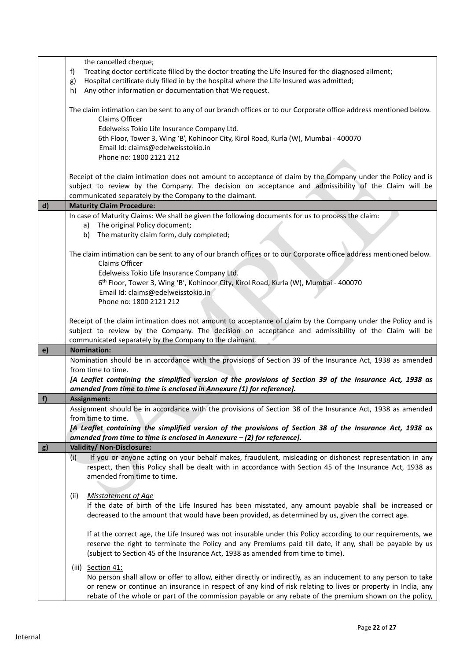|              | the cancelled cheque;                                                                                             |
|--------------|-------------------------------------------------------------------------------------------------------------------|
|              | Treating doctor certificate filled by the doctor treating the Life Insured for the diagnosed ailment;<br>f)       |
|              | Hospital certificate duly filled in by the hospital where the Life Insured was admitted;<br>g)                    |
|              | Any other information or documentation that We request.<br>h)                                                     |
|              |                                                                                                                   |
|              | The claim intimation can be sent to any of our branch offices or to our Corporate office address mentioned below. |
|              | Claims Officer                                                                                                    |
|              | Edelweiss Tokio Life Insurance Company Ltd.                                                                       |
|              | 6th Floor, Tower 3, Wing 'B', Kohinoor City, Kirol Road, Kurla (W), Mumbai - 400070                               |
|              | Email Id: claims@edelweisstokio.in                                                                                |
|              | Phone no: 1800 2121 212                                                                                           |
|              |                                                                                                                   |
|              | Receipt of the claim intimation does not amount to acceptance of claim by the Company under the Policy and is     |
|              | subject to review by the Company. The decision on acceptance and admissibility of the Claim will be               |
|              | communicated separately by the Company to the claimant.                                                           |
| $\mathsf{d}$ | <b>Maturity Claim Procedure:</b>                                                                                  |
|              | In case of Maturity Claims: We shall be given the following documents for us to process the claim:                |
|              | a) The original Policy document;                                                                                  |
|              | b) The maturity claim form, duly completed;                                                                       |
|              |                                                                                                                   |
|              | The claim intimation can be sent to any of our branch offices or to our Corporate office address mentioned below. |
|              | Claims Officer                                                                                                    |
|              | Edelweiss Tokio Life Insurance Company Ltd.                                                                       |
|              | 6 <sup>th</sup> Floor, Tower 3, Wing 'B', Kohinoor City, Kirol Road, Kurla (W), Mumbai - 400070                   |
|              | Email Id: claims@edelweisstokio.in                                                                                |
|              | Phone no: 1800 2121 212                                                                                           |
|              |                                                                                                                   |
|              | Receipt of the claim intimation does not amount to acceptance of claim by the Company under the Policy and is     |
|              | subject to review by the Company. The decision on acceptance and admissibility of the Claim will be               |
|              | communicated separately by the Company to the claimant.                                                           |
| e)           | <b>Nomination:</b>                                                                                                |
|              | Nomination should be in accordance with the provisions of Section 39 of the Insurance Act, 1938 as amended        |
|              | from time to time.                                                                                                |
|              | [A Leaflet containing the simplified version of the provisions of Section 39 of the Insurance Act, 1938 as        |
|              | amended from time to time is enclosed in Annexure (1) for reference].                                             |
| f)           | Assignment:                                                                                                       |
|              | Assignment should be in accordance with the provisions of Section 38 of the Insurance Act, 1938 as amended        |
|              | from time to time.                                                                                                |
|              | [A Leaflet containing the simplified version of the provisions of Section 38 of the Insurance Act, 1938 as        |
|              | amended from time to time is enclosed in Annexure $-$ (2) for reference].                                         |
| g)           | Validity/ Non-Disclosure:                                                                                         |
|              | If you or anyone acting on your behalf makes, fraudulent, misleading or dishonest representation in any<br>(i)    |
|              | respect, then this Policy shall be dealt with in accordance with Section 45 of the Insurance Act, 1938 as         |
|              | amended from time to time.                                                                                        |
|              |                                                                                                                   |
|              | <b>Misstatement of Age</b><br>(ii)                                                                                |
|              | If the date of birth of the Life Insured has been misstated, any amount payable shall be increased or             |
|              | decreased to the amount that would have been provided, as determined by us, given the correct age.                |
|              |                                                                                                                   |
|              | If at the correct age, the Life Insured was not insurable under this Policy according to our requirements, we     |
|              | reserve the right to terminate the Policy and any Premiums paid till date, if any, shall be payable by us         |
|              | (subject to Section 45 of the Insurance Act, 1938 as amended from time to time).                                  |
|              |                                                                                                                   |
|              | (iii) Section 41:                                                                                                 |
|              | No person shall allow or offer to allow, either directly or indirectly, as an inducement to any person to take    |
|              | or renew or continue an insurance in respect of any kind of risk relating to lives or property in India, any      |
|              | rebate of the whole or part of the commission payable or any rebate of the premium shown on the policy,           |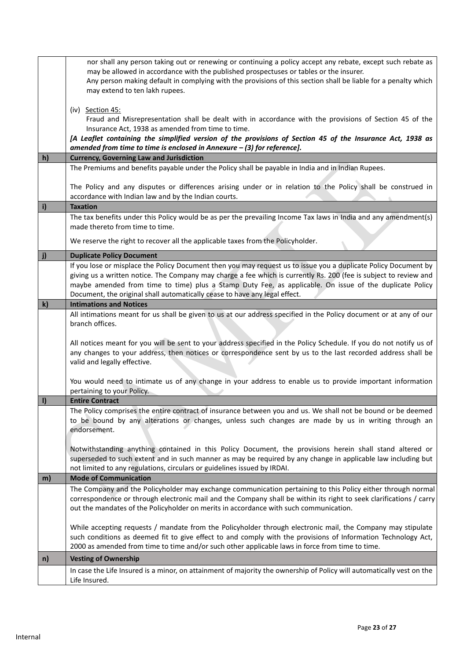|    | nor shall any person taking out or renewing or continuing a policy accept any rebate, except such rebate as                                                                                              |
|----|----------------------------------------------------------------------------------------------------------------------------------------------------------------------------------------------------------|
|    | may be allowed in accordance with the published prospectuses or tables or the insurer.<br>Any person making default in complying with the provisions of this section shall be liable for a penalty which |
|    | may extend to ten lakh rupees.                                                                                                                                                                           |
|    |                                                                                                                                                                                                          |
|    | (iv) Section 45:                                                                                                                                                                                         |
|    | Fraud and Misrepresentation shall be dealt with in accordance with the provisions of Section 45 of the                                                                                                   |
|    | Insurance Act, 1938 as amended from time to time.                                                                                                                                                        |
|    | [A Leaflet containing the simplified version of the provisions of Section 45 of the Insurance Act, 1938 as<br>amended from time to time is enclosed in Annexure $-$ (3) for reference].                  |
| h) | <b>Currency, Governing Law and Jurisdiction</b>                                                                                                                                                          |
|    | The Premiums and benefits payable under the Policy shall be payable in India and in Indian Rupees.                                                                                                       |
|    |                                                                                                                                                                                                          |
|    | The Policy and any disputes or differences arising under or in relation to the Policy shall be construed in                                                                                              |
|    | accordance with Indian law and by the Indian courts.                                                                                                                                                     |
| i) | <b>Taxation</b>                                                                                                                                                                                          |
|    | The tax benefits under this Policy would be as per the prevailing Income Tax laws in India and any amendment(s)                                                                                          |
|    | made thereto from time to time.                                                                                                                                                                          |
|    | We reserve the right to recover all the applicable taxes from the Policyholder.                                                                                                                          |
|    | <b>Duplicate Policy Document</b>                                                                                                                                                                         |
|    | If you lose or misplace the Policy Document then you may request us to issue you a duplicate Policy Document by                                                                                          |
|    | giving us a written notice. The Company may charge a fee which is currently Rs. 200 (fee is subject to review and                                                                                        |
|    | maybe amended from time to time) plus a Stamp Duty Fee, as applicable. On issue of the duplicate Policy                                                                                                  |
|    | Document, the original shall automatically cease to have any legal effect.                                                                                                                               |
| k) | <b>Intimations and Notices</b>                                                                                                                                                                           |
|    | All intimations meant for us shall be given to us at our address specified in the Policy document or at any of our<br>branch offices.                                                                    |
|    |                                                                                                                                                                                                          |
|    | All notices meant for you will be sent to your address specified in the Policy Schedule. If you do not notify us of                                                                                      |
|    | any changes to your address, then notices or correspondence sent by us to the last recorded address shall be                                                                                             |
|    | valid and legally effective.                                                                                                                                                                             |
|    |                                                                                                                                                                                                          |
|    | You would need to intimate us of any change in your address to enable us to provide important information                                                                                                |
|    | pertaining to your Policy.<br><b>Entire Contract</b>                                                                                                                                                     |
|    | The Policy comprises the entire contract of insurance between you and us. We shall not be bound or be deemed                                                                                             |
|    | to be bound by any alterations or changes, unless such changes are made by us in writing through an                                                                                                      |
|    | endorsement.                                                                                                                                                                                             |
|    |                                                                                                                                                                                                          |
|    | Notwithstanding anything contained in this Policy Document, the provisions herein shall stand altered or                                                                                                 |
|    | superseded to such extent and in such manner as may be required by any change in applicable law including but                                                                                            |
| m) | not limited to any regulations, circulars or guidelines issued by IRDAI.<br><b>Mode of Communication</b>                                                                                                 |
|    | The Company and the Policyholder may exchange communication pertaining to this Policy either through normal                                                                                              |
|    | correspondence or through electronic mail and the Company shall be within its right to seek clarifications / carry                                                                                       |
|    | out the mandates of the Policyholder on merits in accordance with such communication.                                                                                                                    |
|    |                                                                                                                                                                                                          |
|    | While accepting requests / mandate from the Policyholder through electronic mail, the Company may stipulate                                                                                              |
|    | such conditions as deemed fit to give effect to and comply with the provisions of Information Technology Act,                                                                                            |
|    | 2000 as amended from time to time and/or such other applicable laws in force from time to time.                                                                                                          |
| n) | <b>Vesting of Ownership</b>                                                                                                                                                                              |
|    | In case the Life Insured is a minor, on attainment of majority the ownership of Policy will automatically vest on the                                                                                    |
|    | Life Insured.                                                                                                                                                                                            |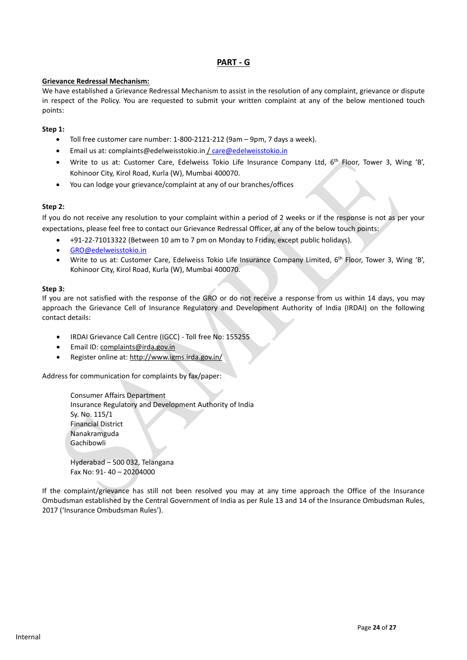# **PART - G**

#### **Grievance Redressal Mechanism:**

We have established a Grievance Redressal Mechanism to assist in the resolution of any complaint, grievance or dispute in respect of the Policy. You are requested to submit your written complaint at any of the below mentioned touch points:

## **Step 1:**

- Toll free customer care number: 1-800-2121-212 (9am 9pm, 7 days a week).
- Email us at: complaints@edelweisstokio.in [/ care@edelweisstokio.in](mailto:care@edelweisstokio.in)
- Write to us at: Customer Care, Edelweiss Tokio Life Insurance Company Ltd, 6<sup>th</sup> Floor, Tower 3, Wing 'B', Kohinoor City, Kirol Road, Kurla (W), Mumbai 400070.
- You can lodge your grievance/complaint at any of our branches/offices

## **Step 2:**

If you do not receive any resolution to your complaint within a period of 2 weeks or if the response is not as per your expectations, please feel free to contact our Grievance Redressal Officer, at any of the below touch points:

- +91-22-71013322 (Between 10 am to 7 pm on Monday to Friday, except public holidays).
- [GRO@edelweisstokio.in](mailto:GRO@edelweisstokio.in)
- Write to us at: Customer Care, Edelweiss Tokio Life Insurance Company Limited, 6<sup>th</sup> Floor, Tower 3, Wing 'B', Kohinoor City, Kirol Road, Kurla (W), Mumbai 400070.

#### **Step 3:**

If you are not satisfied with the response of the GRO or do not receive a response from us within 14 days, you may approach the Grievance Cell of Insurance Regulatory and Development Authority of India (IRDAI) on the following contact details:

- IRDAI Grievance Call Centre (IGCC) Toll free No: 155255
- Email ID: [complaints@irda.gov.in](mailto:complaints@irda.gov.in)
- Register online at[: http://www.igms.irda.gov.in/](http://www.igms.irda.gov.in/)

Address for communication for complaints by fax/paper:

Consumer Affairs Department Insurance Regulatory and Development Authority of India Sy. No. 115/1 Financial District Nanakramguda Gachibowli

Hyderabad – 500 032, Telangana Fax No: 91- 40 – 20204000

If the complaint/grievance has still not been resolved you may at any time approach the Office of the Insurance Ombudsman established by the Central Government of India as per Rule 13 and 14 of the Insurance Ombudsman Rules, 2017 ('Insurance Ombudsman Rules').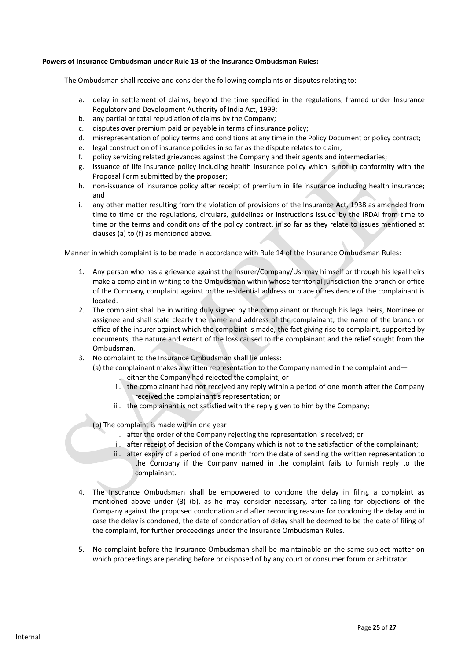#### **Powers of Insurance Ombudsman under Rule 13 of the Insurance Ombudsman Rules:**

The Ombudsman shall receive and consider the following complaints or disputes relating to:

- a. delay in settlement of claims, beyond the time specified in the regulations, framed under Insurance Regulatory and Development Authority of India Act, 1999;
- b. any partial or total repudiation of claims by the Company;
- c. disputes over premium paid or payable in terms of insurance policy;
- d. misrepresentation of policy terms and conditions at any time in the Policy Document or policy contract;
- e. legal construction of insurance policies in so far as the dispute relates to claim;
- f. policy servicing related grievances against the Company and their agents and intermediaries;
- g. issuance of life insurance policy including health insurance policy which is not in conformity with the Proposal Form submitted by the proposer;
- h. non-issuance of insurance policy after receipt of premium in life insurance including health insurance; and
- i. any other matter resulting from the violation of provisions of the Insurance Act, 1938 as amended from time to time or the regulations, circulars, guidelines or instructions issued by the IRDAI from time to time or the terms and conditions of the policy contract, in so far as they relate to issues mentioned at clauses (a) to (f) as mentioned above.

Manner in which complaint is to be made in accordance with Rule 14 of the Insurance Ombudsman Rules:

- 1. Any person who has a grievance against the Insurer/Company/Us, may himself or through his legal heirs make a complaint in writing to the Ombudsman within whose territorial jurisdiction the branch or office of the Company, complaint against or the residential address or place of residence of the complainant is located.
- 2. The complaint shall be in writing duly signed by the complainant or through his legal heirs, Nominee or assignee and shall state clearly the name and address of the complainant, the name of the branch or office of the insurer against which the complaint is made, the fact giving rise to complaint, supported by documents, the nature and extent of the loss caused to the complainant and the relief sought from the Ombudsman.
- 3. No complaint to the Insurance Ombudsman shall lie unless:
	- (a) the complainant makes a written representation to the Company named in the complaint and  $$ 
		- i. either the Company had rejected the complaint; or
		- ii. the complainant had not received any reply within a period of one month after the Company received the complainant's representation; or
		- iii. the complainant is not satisfied with the reply given to him by the Company;
	- (b) The complaint is made within one year
		- i. after the order of the Company rejecting the representation is received; or
		- ii. after receipt of decision of the Company which is not to the satisfaction of the complainant;
		- iii. after expiry of a period of one month from the date of sending the written representation to the Company if the Company named in the complaint fails to furnish reply to the complainant.
- 4. The Insurance Ombudsman shall be empowered to condone the delay in filing a complaint as mentioned above under (3) (b), as he may consider necessary, after calling for objections of the Company against the proposed condonation and after recording reasons for condoning the delay and in case the delay is condoned, the date of condonation of delay shall be deemed to be the date of filing of the complaint, for further proceedings under the Insurance Ombudsman Rules.
- 5. No complaint before the Insurance Ombudsman shall be maintainable on the same subject matter on which proceedings are pending before or disposed of by any court or consumer forum or arbitrator.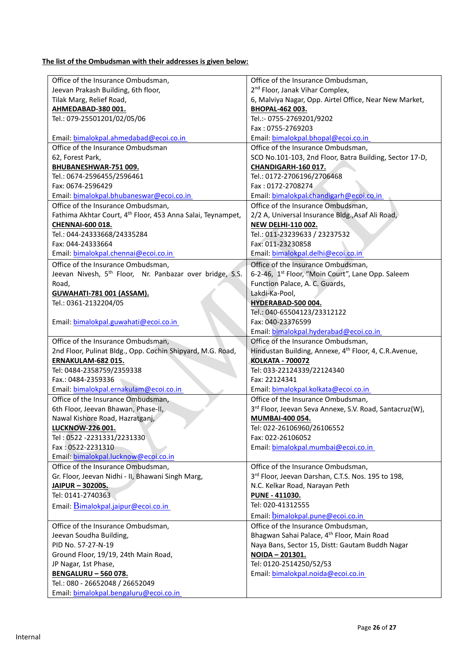**The list of the Ombudsman with their addresses is given below:**

| Office of the Insurance Ombudsman,                                           | Office of the Insurance Ombudsman,                                         |
|------------------------------------------------------------------------------|----------------------------------------------------------------------------|
| Jeevan Prakash Building, 6th floor,                                          | 2 <sup>nd</sup> Floor, Janak Vihar Complex,                                |
| Tilak Marg, Relief Road,                                                     | 6, Malviya Nagar, Opp. Airtel Office, Near New Market,                     |
| AHMEDABAD-380 001.                                                           | <b>BHOPAL-462 003.</b>                                                     |
| Tel.: 079-25501201/02/05/06                                                  | Tel.:- 0755-2769201/9202                                                   |
|                                                                              | Fax: 0755-2769203                                                          |
| Email: bimalokpal.ahmedabad@ecoi.co.in                                       | Email: bimalokpal.bhopal@ecoi.co.in                                        |
| Office of the Insurance Ombudsman                                            | Office of the Insurance Ombudsman,                                         |
| 62, Forest Park,                                                             | SCO No.101-103, 2nd Floor, Batra Building, Sector 17-D,                    |
| BHUBANESHWAR-751 009.                                                        | CHANDIGARH-160 017.                                                        |
| Tel.: 0674-2596455/2596461                                                   | Tel.: 0172-2706196/2706468                                                 |
| Fax: 0674-2596429                                                            | Fax: 0172-2708274                                                          |
| Email: bimalokpal.bhubaneswar@ecoi.co.in                                     | Email: bimalokpal.chandigarh@ecoi.co.in                                    |
| Office of the Insurance Ombudsman,                                           | Office of the Insurance Ombudsman,                                         |
| Fathima Akhtar Court, 4 <sup>th</sup> Floor, 453 Anna Salai, Teynampet,      | 2/2 A, Universal Insurance Bldg., Asaf Ali Road,                           |
| <b>CHENNAI-600 018.</b>                                                      | <b>NEW DELHI-110 002.</b>                                                  |
| Tel.: 044-24333668/24335284                                                  | Tel.: 011-23239633 / 23237532                                              |
| Fax: 044-24333664                                                            | Fax: 011-23230858                                                          |
| Email: bimalokpal.chennai@ecoi.co.in                                         | Email: bimalokpal.delhi@ecoi.co.in                                         |
| Office of the Insurance Ombudsman,                                           | Office of the Insurance Ombudsman,                                         |
| Jeevan Nivesh, 5 <sup>th</sup> Floor, Nr. Panbazar over bridge, S.S.         | 6-2-46, 1 <sup>st</sup> Floor, "Moin Court", Lane Opp. Saleem              |
| Road,                                                                        | Function Palace, A. C. Guards,                                             |
| <b>GUWAHATI-781 001 (ASSAM).</b>                                             | Lakdi-Ka-Pool,                                                             |
| Tel.: 0361-2132204/05                                                        | HYDERABAD-500 004.                                                         |
|                                                                              | Tel.: 040-65504123/23312122                                                |
| Email: bimalokpal.guwahati@ecoi.co.in                                        | Fax: 040-23376599                                                          |
|                                                                              | Email: bimalokpal.hyderabad@ecoi.co.in                                     |
|                                                                              |                                                                            |
|                                                                              |                                                                            |
| Office of the Insurance Ombudsman,                                           | Office of the Insurance Ombudsman,                                         |
| 2nd Floor, Pulinat Bldg., Opp. Cochin Shipyard, M.G. Road,                   | Hindustan Building, Annexe, 4 <sup>th</sup> Floor, 4, C.R.Avenue,          |
| ERNAKULAM-682 015.                                                           | <b>KOLKATA - 700072</b>                                                    |
| Tel: 0484-2358759/2359338<br>Fax.: 0484-2359336                              | Tel: 033-22124339/22124340<br>Fax: 22124341                                |
|                                                                              |                                                                            |
| Email: bimalokpal.ernakulam@ecoi.co.in<br>Office of the Insurance Ombudsman, | Email: bimalokpal.kolkata@ecoi.co.in<br>Office of the Insurance Ombudsman, |
| 6th Floor, Jeevan Bhawan, Phase-II,                                          | 3rd Floor, Jeevan Seva Annexe, S.V. Road, Santacruz(W),                    |
| Nawal Kishore Road, Hazratganj,                                              | <b>MUMBAI-400 054.</b>                                                     |
| <b>LUCKNOW-226 001.</b>                                                      |                                                                            |
| Tel: 0522 -2231331/2231330                                                   | Tel: 022-26106960/26106552<br>Fax: 022-26106052                            |
| Fax: 0522-2231310                                                            | Email: bimalokpal.mumbai@ecoi.co.in                                        |
| Email: bimalokpal.lucknow@ecoi.co.in                                         |                                                                            |
| Office of the Insurance Ombudsman,                                           | Office of the Insurance Ombudsman,                                         |
| Gr. Floor, Jeevan Nidhi - II, Bhawani Singh Marg,                            | 3rd Floor, Jeevan Darshan, C.T.S. Nos. 195 to 198,                         |
| JAIPUR - 302005.                                                             | N.C. Kelkar Road, Narayan Peth                                             |
| Tel: 0141-2740363                                                            | <b>PUNE - 411030.</b>                                                      |
|                                                                              | Tel: 020-41312555                                                          |
| Email: Bimalokpal.jaipur@ecoi.co.in                                          |                                                                            |
|                                                                              | Email: bimalokpal.pune@ecoi.co.in                                          |
| Office of the Insurance Ombudsman,                                           | Office of the Insurance Ombudsman,                                         |
| Jeevan Soudha Building,                                                      | Bhagwan Sahai Palace, 4 <sup>th</sup> Floor, Main Road                     |
| PID No. 57-27-N-19                                                           | Naya Bans, Sector 15, Distt: Gautam Buddh Nagar                            |
| Ground Floor, 19/19, 24th Main Road,                                         | NOIDA - 201301.                                                            |
| JP Nagar, 1st Phase,                                                         | Tel: 0120-2514250/52/53                                                    |
| <b>BENGALURU - 560 078.</b>                                                  | Email: bimalokpal.noida@ecoi.co.in                                         |
| Tel.: 080 - 26652048 / 26652049<br>Email: bimalokpal.bengaluru@ecoi.co.in    |                                                                            |